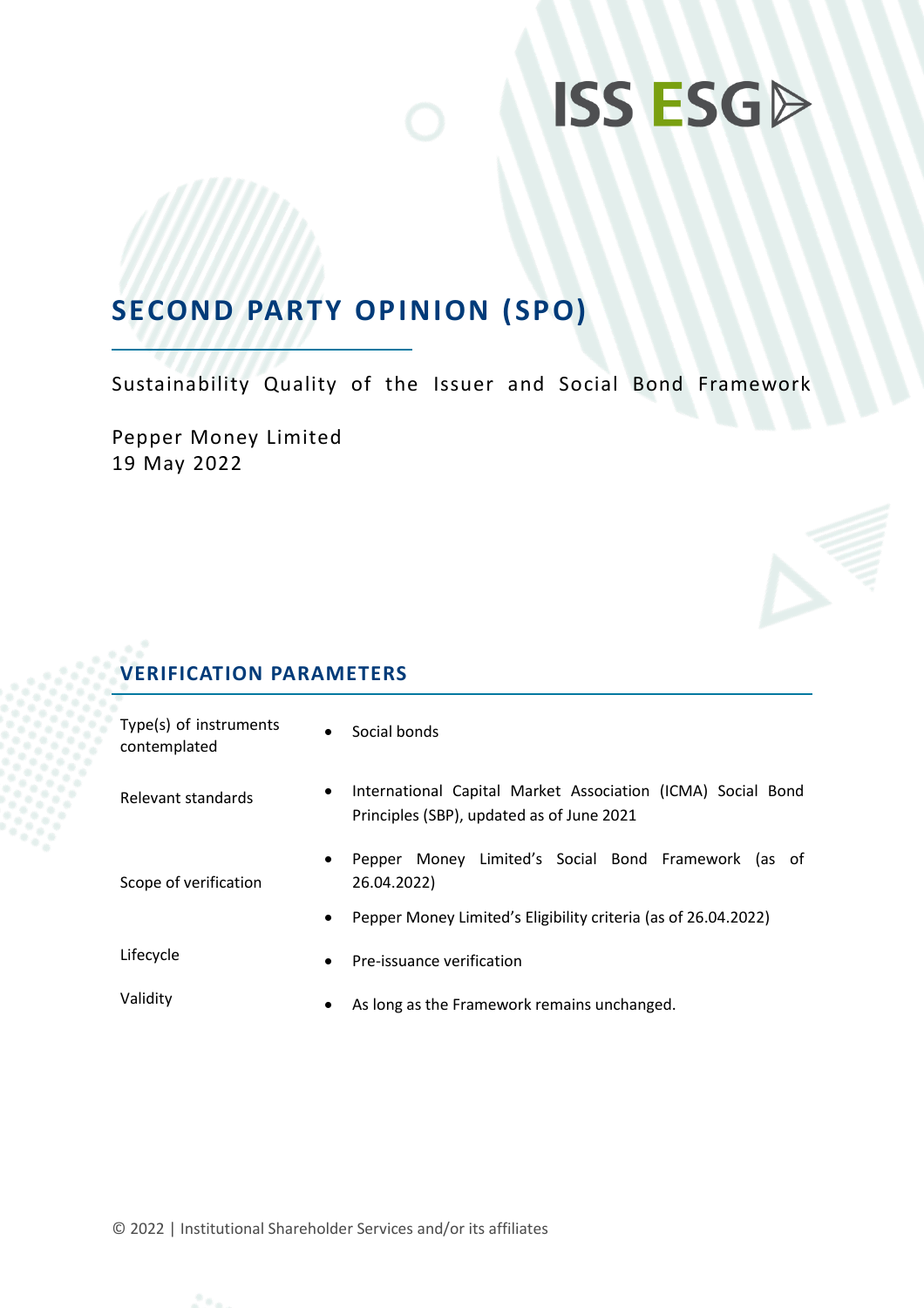## **SECOND PARTY OPINION (SPO)**

Sustainability Quality of the Issuer and Social Bond Framework

Pepper Money Limited 19 May 2022

## **VERIFICATION PARAMETERS**

| Type(s) of instruments<br>contemplated | $\bullet$ | Social bonds                                                                                             |  |  |
|----------------------------------------|-----------|----------------------------------------------------------------------------------------------------------|--|--|
| Relevant standards                     | $\bullet$ | International Capital Market Association (ICMA) Social Bond<br>Principles (SBP), updated as of June 2021 |  |  |
| Scope of verification                  | $\bullet$ | Pepper Money Limited's Social Bond Framework (as of<br>26.04.2022)                                       |  |  |
|                                        | $\bullet$ | Pepper Money Limited's Eligibility criteria (as of 26.04.2022)                                           |  |  |
| Lifecycle                              | $\bullet$ | Pre-issuance verification                                                                                |  |  |
| Validity                               | $\bullet$ | As long as the Framework remains unchanged.                                                              |  |  |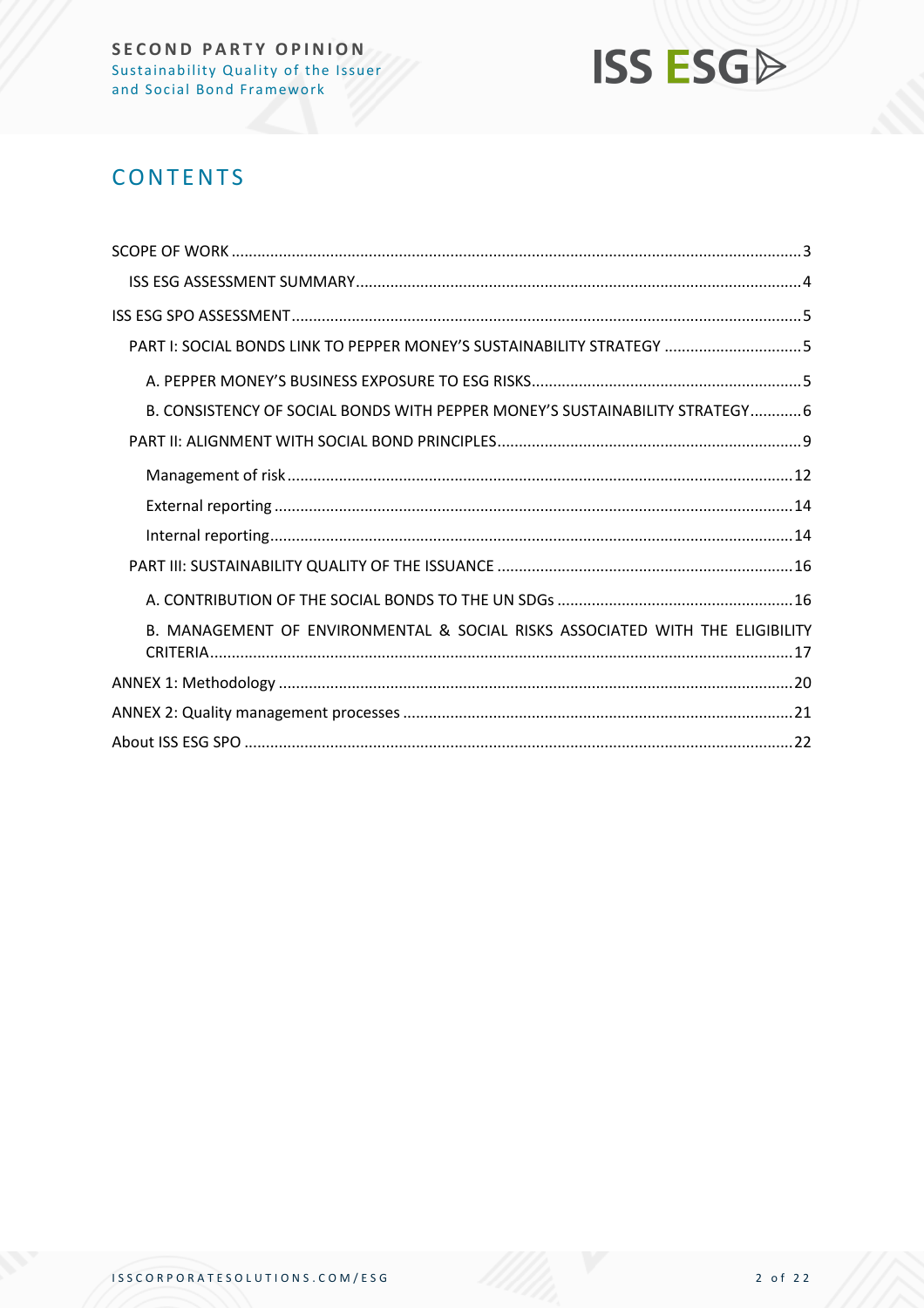

## **CONTENTS**

| PART I: SOCIAL BONDS LINK TO PEPPER MONEY'S SUSTAINABILITY STRATEGY 5         |
|-------------------------------------------------------------------------------|
|                                                                               |
| B. CONSISTENCY OF SOCIAL BONDS WITH PEPPER MONEY'S SUSTAINABILITY STRATEGY 6  |
|                                                                               |
|                                                                               |
|                                                                               |
|                                                                               |
|                                                                               |
|                                                                               |
| B. MANAGEMENT OF ENVIRONMENTAL & SOCIAL RISKS ASSOCIATED WITH THE ELIGIBILITY |
|                                                                               |
|                                                                               |
|                                                                               |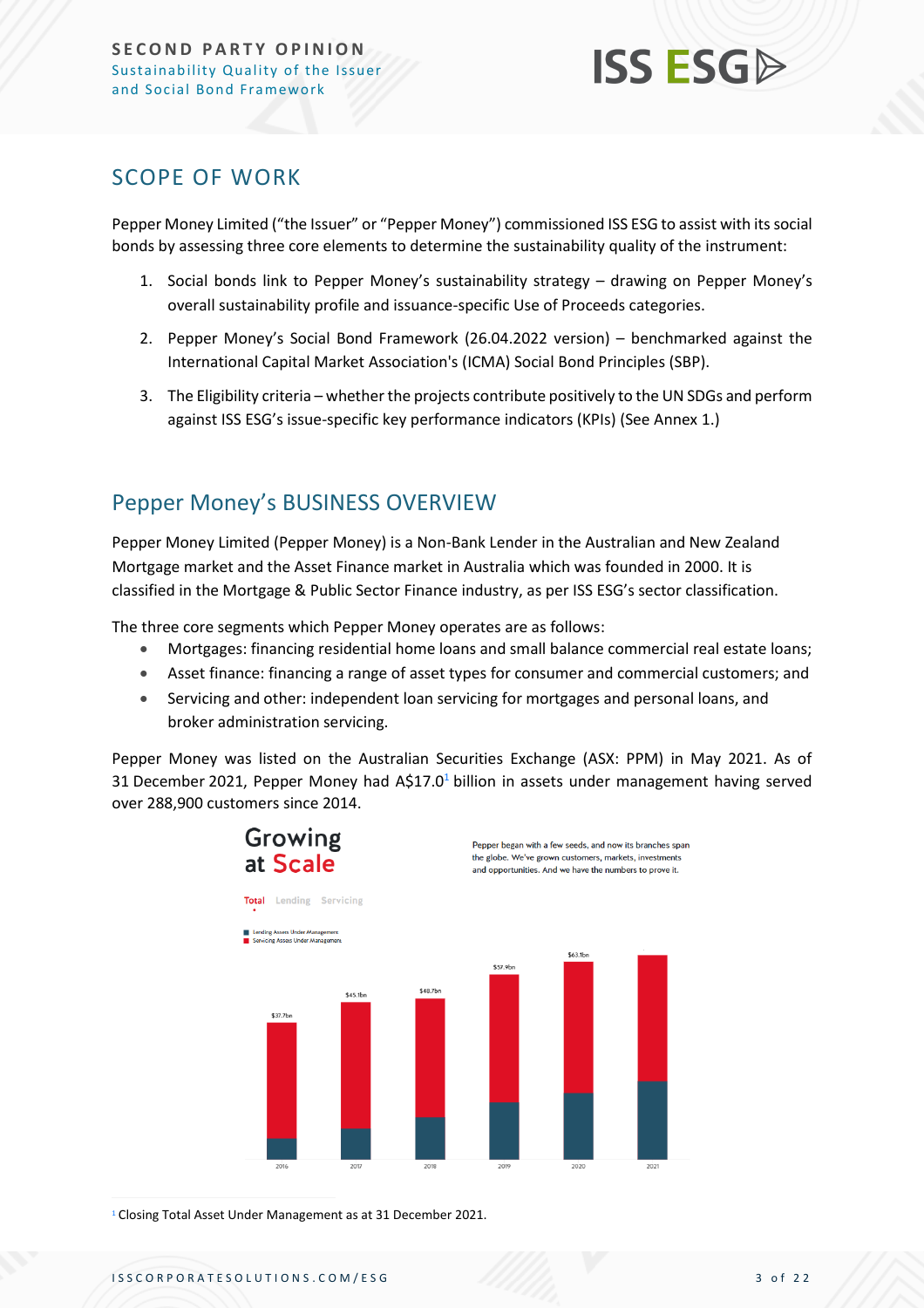### <span id="page-2-0"></span>SCOPE OF WORK

Pepper Money Limited ("the Issuer" or "Pepper Money") commissioned ISS ESG to assist with its social bonds by assessing three core elements to determine the sustainability quality of the instrument:

- 1. Social bonds link to Pepper Money's sustainability strategy drawing on Pepper Money's overall sustainability profile and issuance-specific Use of Proceeds categories.
- 2. Pepper Money's Social Bond Framework (26.04.2022 version) benchmarked against the International Capital Market Association's (ICMA) Social Bond Principles (SBP).
- 3. The Eligibility criteria whether the projects contribute positively to the UN SDGs and perform against ISS ESG's issue-specific key performance indicators (KPIs) (See Annex 1.)

## Pepper Money's BUSINESS OVERVIEW

Pepper Money Limited (Pepper Money) is a Non-Bank Lender in the Australian and New Zealand Mortgage market and the Asset Finance market in Australia which was founded in 2000. It is classified in the Mortgage & Public Sector Finance industry, as per ISS ESG's sector classification.

The three core segments which Pepper Money operates are as follows:

- Mortgages: financing residential home loans and small balance commercial real estate loans;
- Asset finance: financing a range of asset types for consumer and commercial customers; and
- Servicing and other: independent loan servicing for mortgages and personal loans, and broker administration servicing.

Pepper Money was listed on the Australian Securities Exchange (ASX: PPM) in May 2021. As of 31 December 2021, Pepper Money had  $A\$ 17.0<sup>1</sup> billion in assets under management having served over 288,900 customers since 2014.



<sup>1</sup> Closing Total Asset Under Management as at 31 December 2021.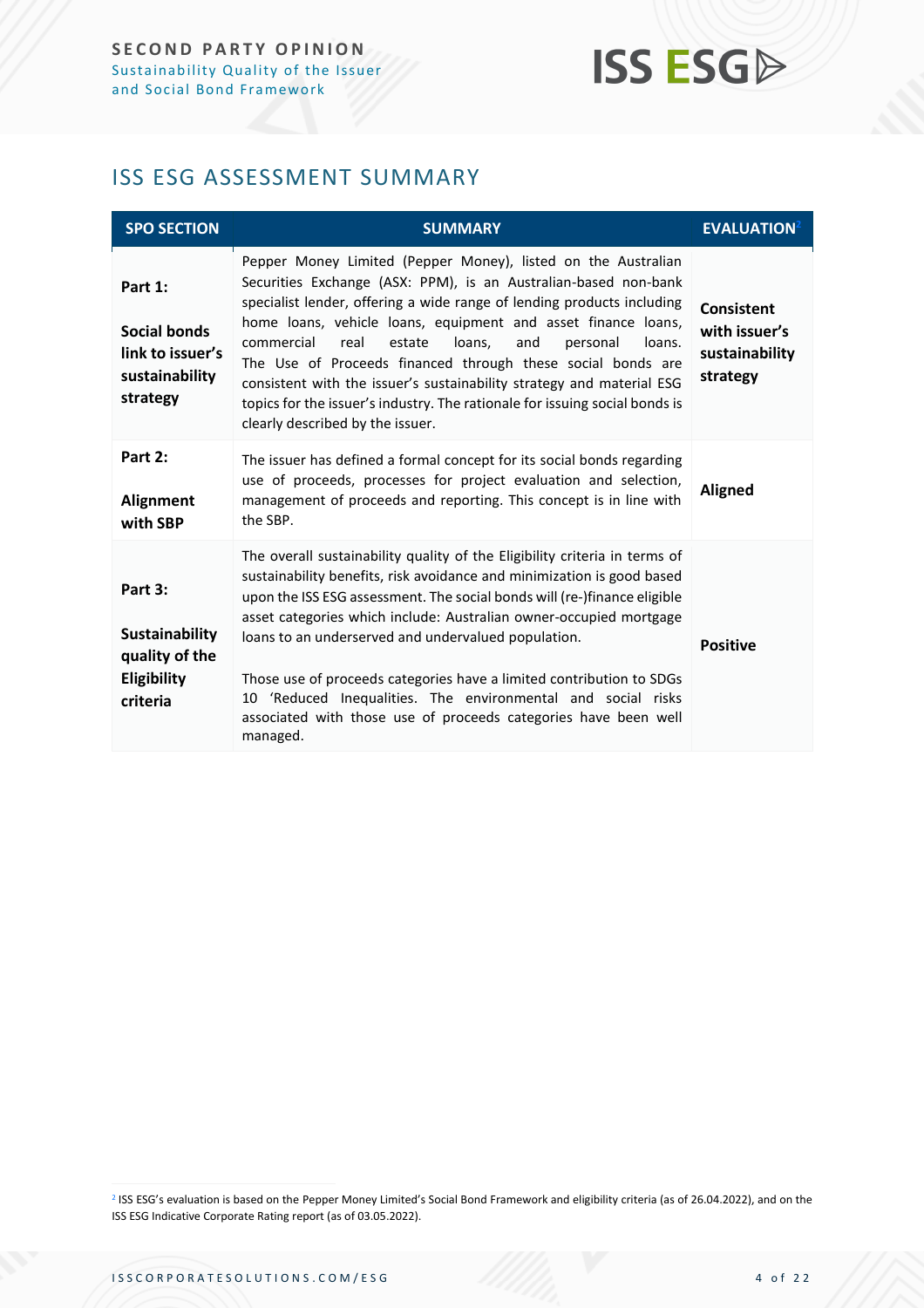### <span id="page-3-0"></span>ISS ESG ASSESSMENT SUMMARY

| <b>SPO SECTION</b>                                                               | <b>SUMMARY</b>                                                                                                                                                                                                                                                                                                                                                                                                                                                                                                                                                                                                | <b>EVALUATION</b> <sup>2</sup>                            |
|----------------------------------------------------------------------------------|---------------------------------------------------------------------------------------------------------------------------------------------------------------------------------------------------------------------------------------------------------------------------------------------------------------------------------------------------------------------------------------------------------------------------------------------------------------------------------------------------------------------------------------------------------------------------------------------------------------|-----------------------------------------------------------|
| Part 1:<br><b>Social bonds</b><br>link to issuer's<br>sustainability<br>strategy | Pepper Money Limited (Pepper Money), listed on the Australian<br>Securities Exchange (ASX: PPM), is an Australian-based non-bank<br>specialist lender, offering a wide range of lending products including<br>home loans, vehicle loans, equipment and asset finance loans,<br>commercial<br>real<br>estate<br>loans.<br>and<br>personal<br>loans.<br>The Use of Proceeds financed through these social bonds are<br>consistent with the issuer's sustainability strategy and material ESG<br>topics for the issuer's industry. The rationale for issuing social bonds is<br>clearly described by the issuer. | Consistent<br>with issuer's<br>sustainability<br>strategy |
| Part 2:<br><b>Alignment</b><br>with SBP                                          | The issuer has defined a formal concept for its social bonds regarding<br>use of proceeds, processes for project evaluation and selection,<br>management of proceeds and reporting. This concept is in line with<br>the SBP.                                                                                                                                                                                                                                                                                                                                                                                  | <b>Aligned</b>                                            |
| Part 3:<br>Sustainability<br>quality of the<br>Eligibility<br>criteria           | The overall sustainability quality of the Eligibility criteria in terms of<br>sustainability benefits, risk avoidance and minimization is good based<br>upon the ISS ESG assessment. The social bonds will (re-)finance eligible<br>asset categories which include: Australian owner-occupied mortgage<br>loans to an underserved and undervalued population.<br>Those use of proceeds categories have a limited contribution to SDGs<br>'Reduced Inequalities. The environmental and social risks<br>10<br>associated with those use of proceeds categories have been well<br>managed.                       | <b>Positive</b>                                           |

<sup>2</sup> ISS ESG's evaluation is based on the Pepper Money Limited's Social Bond Framework and eligibility criteria (as of 26.04.2022), and on the ISS ESG Indicative Corporate Rating report (as of 03.05.2022).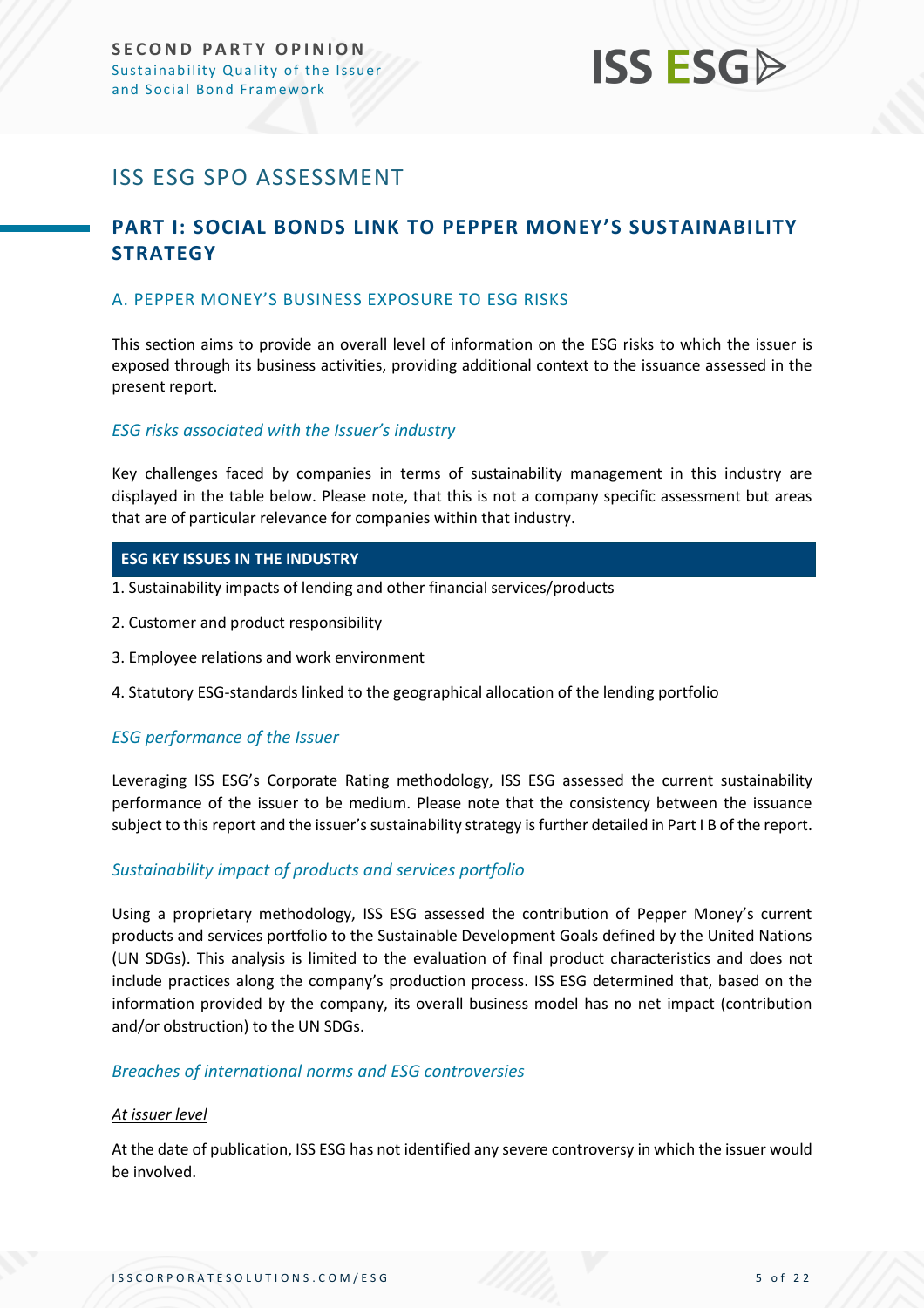## <span id="page-4-0"></span>ISS ESG SPO ASSESSMENT

### <span id="page-4-1"></span>**PART I: SOCIAL BONDS LINK TO PEPPER MONEY'S SUSTAINABILITY STRATEGY**

#### <span id="page-4-2"></span>A. PEPPER MONEY'S BUSINESS EXPOSURE TO ESG RISKS

This section aims to provide an overall level of information on the ESG risks to which the issuer is exposed through its business activities, providing additional context to the issuance assessed in the present report.

#### *ESG risks associated with the Issuer's industry*

Key challenges faced by companies in terms of sustainability management in this industry are displayed in the table below. Please note, that this is not a company specific assessment but areas that are of particular relevance for companies within that industry.

#### **ESG KEY ISSUES IN THE INDUSTRY**

- 1. Sustainability impacts of lending and other financial services/products
- 2. Customer and product responsibility
- 3. Employee relations and work environment
- 4. Statutory ESG-standards linked to the geographical allocation of the lending portfolio

#### *ESG performance of the Issuer*

Leveraging ISS ESG's Corporate Rating methodology, ISS ESG assessed the current sustainability performance of the issuer to be medium. Please note that the consistency between the issuance subject to this report and the issuer's sustainability strategy is further detailed in Part I B of the report.

#### *Sustainability impact of products and services portfolio*

Using a proprietary methodology, ISS ESG assessed the contribution of Pepper Money's current products and services portfolio to the Sustainable Development Goals defined by the United Nations (UN SDGs). This analysis is limited to the evaluation of final product characteristics and does not include practices along the company's production process. ISS ESG determined that, based on the information provided by the company, its overall business model has no net impact (contribution and/or obstruction) to the UN SDGs.

#### *Breaches of international norms and ESG controversies*

#### *At issuer level*

At the date of publication, ISS ESG has not identified any severe controversy in which the issuer would be involved.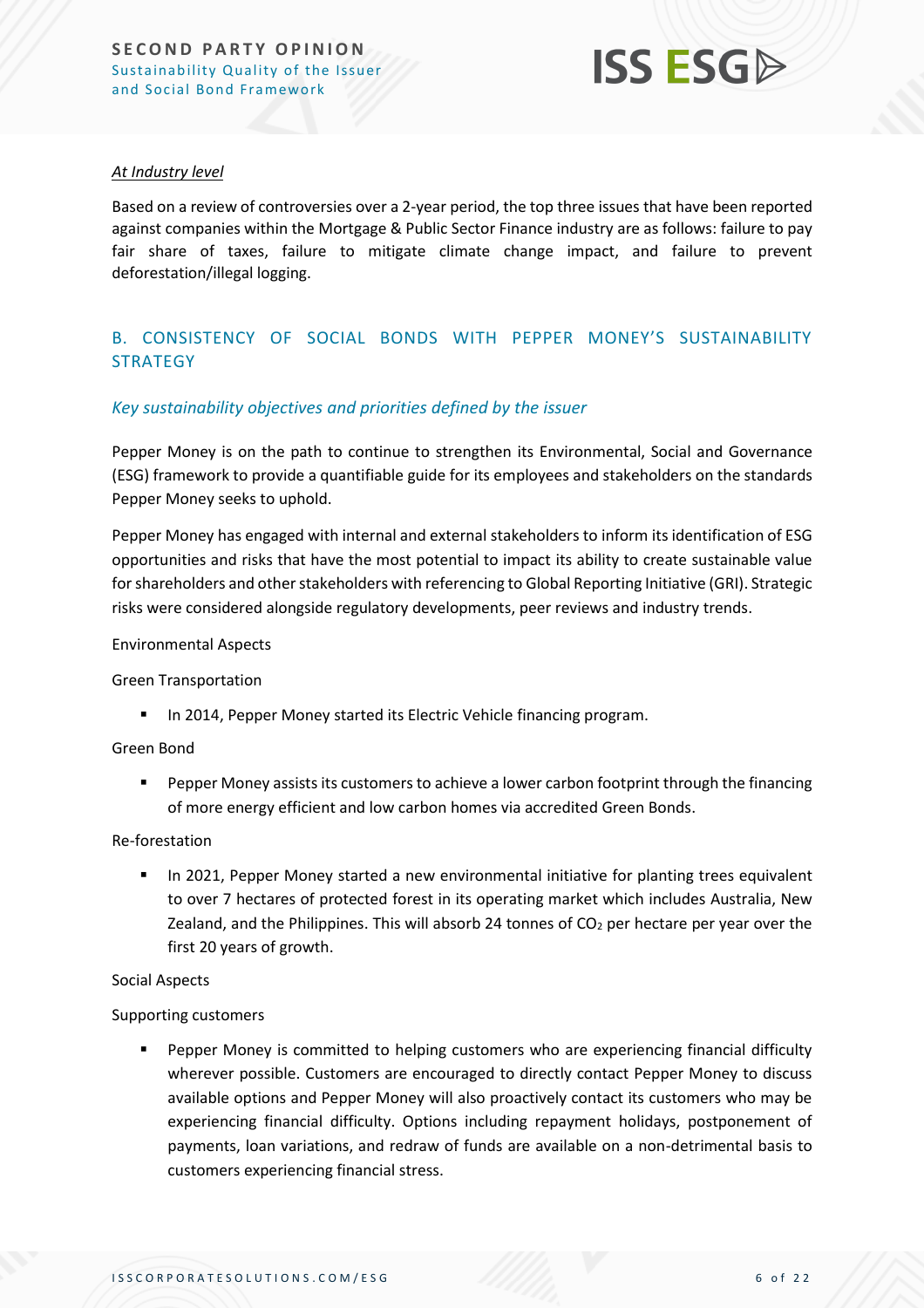

#### *At Industry level*

Based on a review of controversies over a 2-year period, the top three issues that have been reported against companies within the Mortgage & Public Sector Finance industry are as follows: failure to pay fair share of taxes, failure to mitigate climate change impact, and failure to prevent deforestation/illegal logging.

#### <span id="page-5-0"></span>B. CONSISTENCY OF SOCIAL BONDS WITH PEPPER MONEY'S SUSTAINABILITY **STRATEGY**

#### *Key sustainability objectives and priorities defined by the issuer*

Pepper Money is on the path to continue to strengthen its Environmental, Social and Governance (ESG) framework to provide a quantifiable guide for its employees and stakeholders on the standards Pepper Money seeks to uphold.

Pepper Money has engaged with internal and external stakeholders to inform its identification of ESG opportunities and risks that have the most potential to impact its ability to create sustainable value for shareholders and other stakeholders with referencing to Global Reporting Initiative (GRI). Strategic risks were considered alongside regulatory developments, peer reviews and industry trends.

#### Environmental Aspects

#### Green Transportation

■ In 2014, Pepper Money started its Electric Vehicle financing program.

#### Green Bond

■ Pepper Money assists its customers to achieve a lower carbon footprint through the financing of more energy efficient and low carbon homes via accredited Green Bonds.

#### Re-forestation

**■** In 2021, Pepper Money started a new environmental initiative for planting trees equivalent to over 7 hectares of protected forest in its operating market which includes Australia, New Zealand, and the Philippines. This will absorb 24 tonnes of  $CO<sub>2</sub>$  per hectare per year over the first 20 years of growth.

#### Social Aspects

#### Supporting customers

■ Pepper Money is committed to helping customers who are experiencing financial difficulty wherever possible. Customers are encouraged to directly contact Pepper Money to discuss available options and Pepper Money will also proactively contact its customers who may be experiencing financial difficulty. Options including repayment holidays, postponement of payments, loan variations, and redraw of funds are available on a non-detrimental basis to customers experiencing financial stress.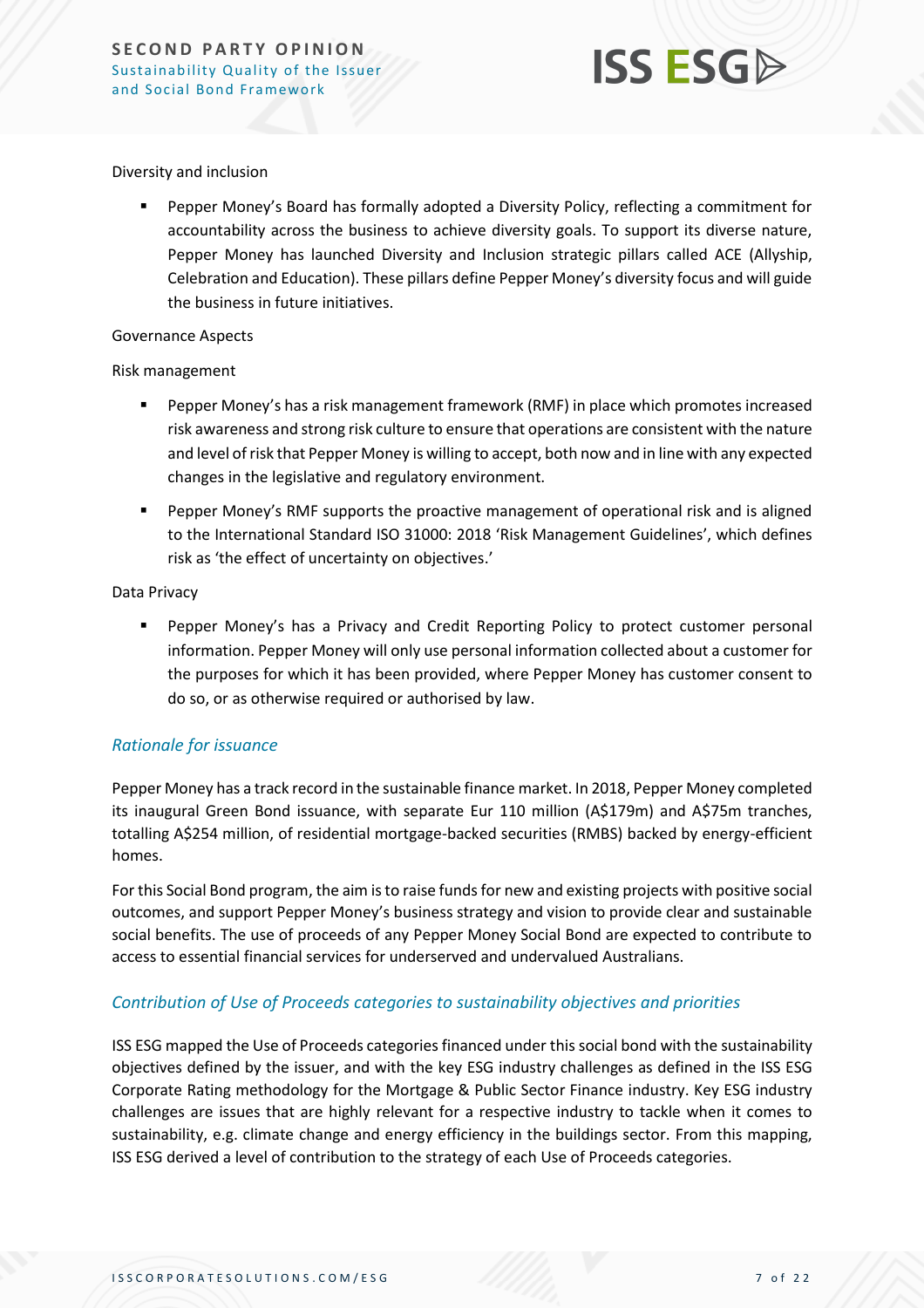

#### Diversity and inclusion

Pepper Money's Board has formally adopted a Diversity Policy, reflecting a commitment for accountability across the business to achieve diversity goals. To support its diverse nature, Pepper Money has launched Diversity and Inclusion strategic pillars called ACE (Allyship, Celebration and Education). These pillars define Pepper Money's diversity focus and will guide the business in future initiatives.

#### Governance Aspects

#### Risk management

- Pepper Money's has a risk management framework (RMF) in place which promotes increased risk awareness and strong risk culture to ensure that operations are consistent with the nature and level of risk that Pepper Money is willing to accept, both now and in line with any expected changes in the legislative and regulatory environment.
- Pepper Money's RMF supports the proactive management of operational risk and is aligned to the International Standard ISO 31000: 2018 'Risk Management Guidelines', which defines risk as 'the effect of uncertainty on objectives.'

#### Data Privacy

**•** Pepper Money's has a Privacy and Credit Reporting Policy to protect customer personal information. Pepper Money will only use personal information collected about a customer for the purposes for which it has been provided, where Pepper Money has customer consent to do so, or as otherwise required or authorised by law.

#### *Rationale for issuance*

Pepper Money has a track record in the sustainable finance market. In 2018, Pepper Money completed its inaugural Green Bond issuance, with separate Eur 110 million (A\$179m) and A\$75m tranches, totalling A\$254 million, of residential mortgage-backed securities (RMBS) backed by energy-efficient homes.

For this Social Bond program, the aim is to raise funds for new and existing projects with positive social outcomes, and support Pepper Money's business strategy and vision to provide clear and sustainable social benefits. The use of proceeds of any Pepper Money Social Bond are expected to contribute to access to essential financial services for underserved and undervalued Australians.

#### *Contribution of Use of Proceeds categories to sustainability objectives and priorities*

ISS ESG mapped the Use of Proceeds categories financed under this social bond with the sustainability objectives defined by the issuer, and with the key ESG industry challenges as defined in the ISS ESG Corporate Rating methodology for the Mortgage & Public Sector Finance industry. Key ESG industry challenges are issues that are highly relevant for a respective industry to tackle when it comes to sustainability, e.g. climate change and energy efficiency in the buildings sector. From this mapping, ISS ESG derived a level of contribution to the strategy of each Use of Proceeds categories.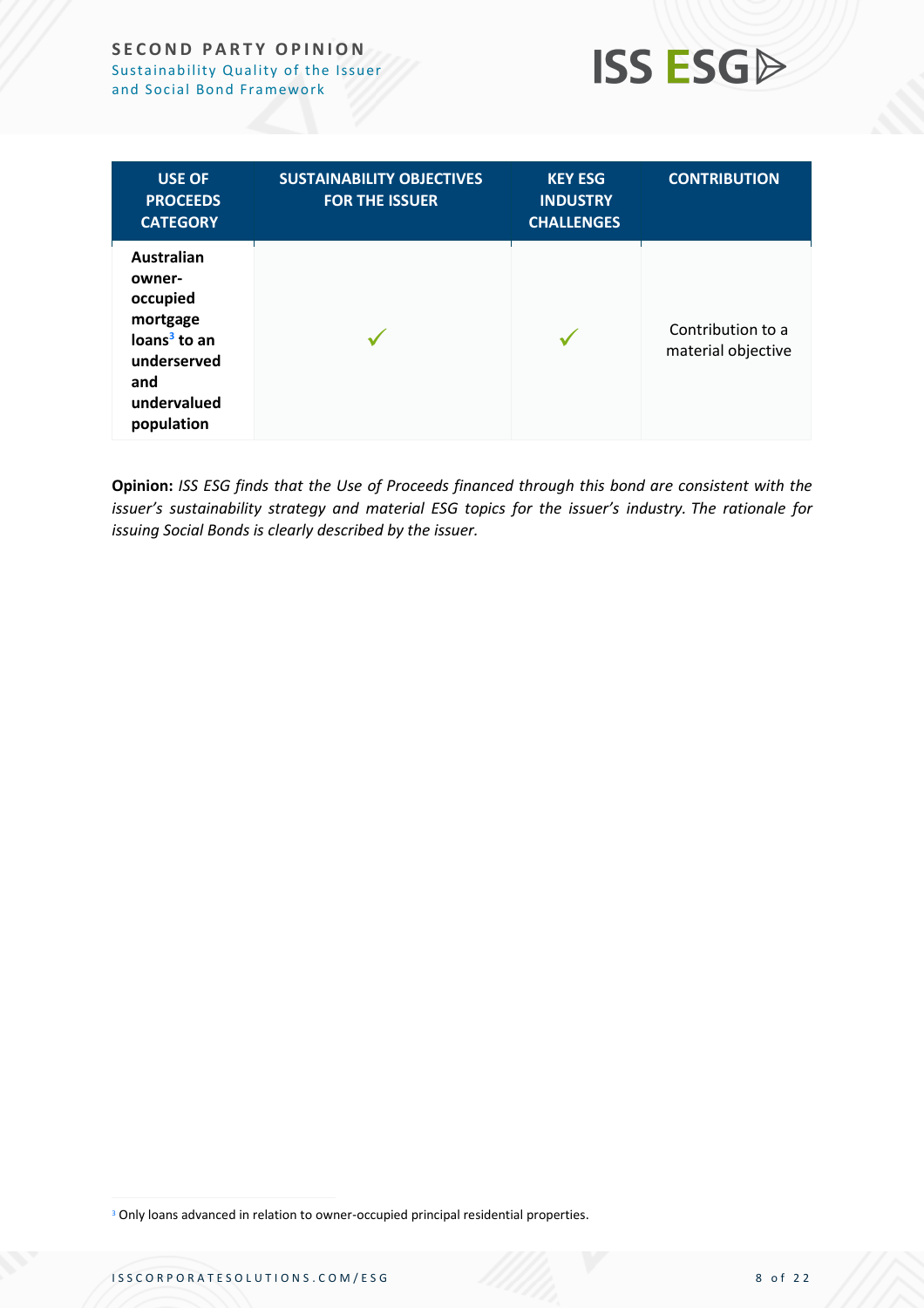#### **SECOND PARTY OPINION** Sustainability Quality of the Issuer and Social Bond Framework



| <b>USE OF</b><br><b>PROCEEDS</b><br><b>CATEGORY</b>                                                                                | <b>SUSTAINABILITY OBJECTIVES</b><br><b>FOR THE ISSUER</b> | <b>KEY ESG</b><br><b>INDUSTRY</b><br><b>CHALLENGES</b> | <b>CONTRIBUTION</b>                     |
|------------------------------------------------------------------------------------------------------------------------------------|-----------------------------------------------------------|--------------------------------------------------------|-----------------------------------------|
| <b>Australian</b><br>owner-<br>occupied<br>mortgage<br>loans <sup>3</sup> to an<br>underserved<br>and<br>undervalued<br>population |                                                           |                                                        | Contribution to a<br>material objective |

<span id="page-7-0"></span>**Opinion:** *ISS ESG finds that the Use of Proceeds financed through this bond are consistent with the issuer's sustainability strategy and material ESG topics for the issuer's industry. The rationale for issuing Social Bonds is clearly described by the issuer.*

<sup>&</sup>lt;sup>3</sup> Only loans advanced in relation to owner-occupied principal residential properties.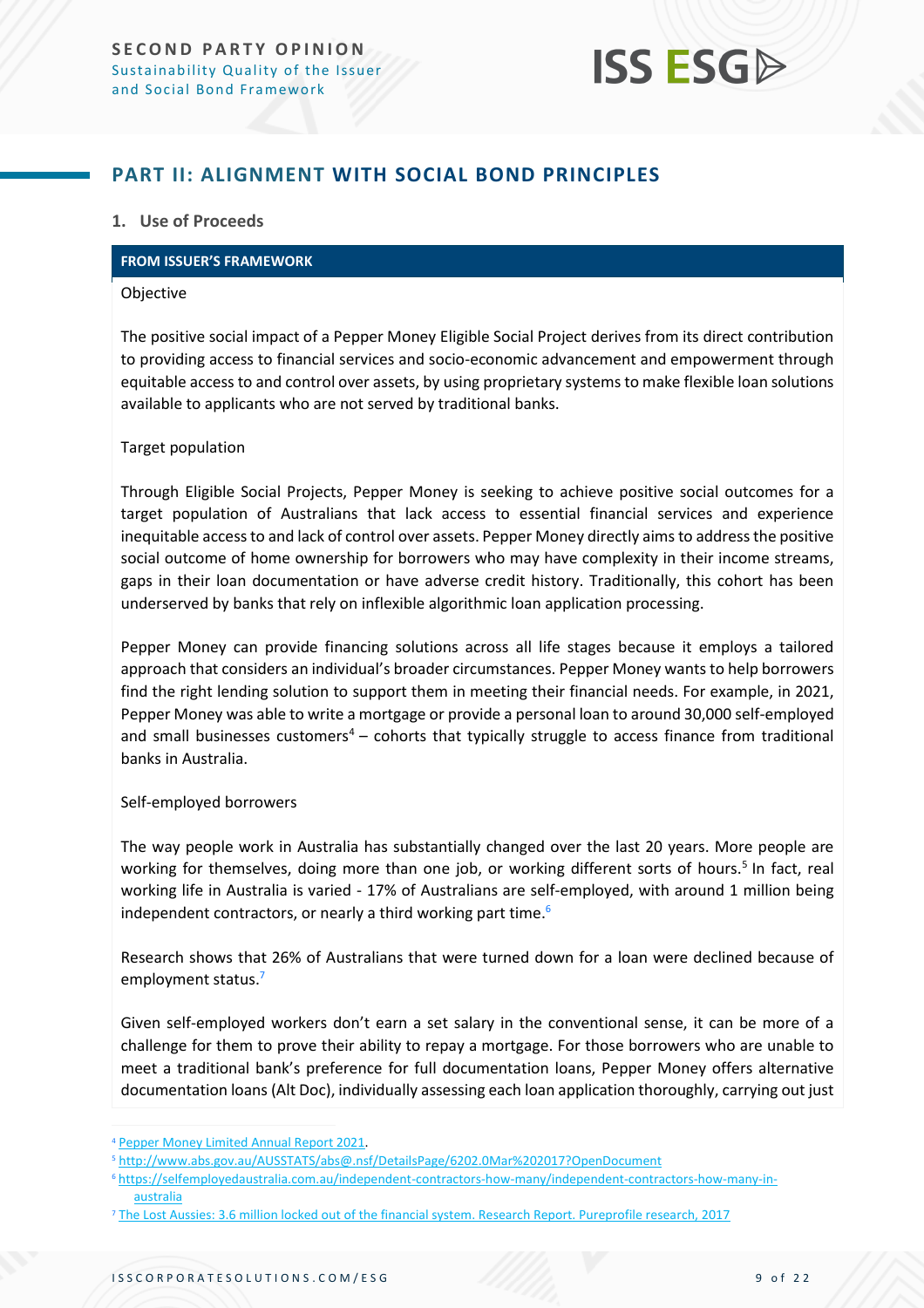### <span id="page-8-0"></span>**PART II: ALIGNMENT WITH SOCIAL BOND PRINCIPLES**

#### **1. Use of Proceeds**

#### **FROM ISSUER'S FRAMEWORK**

#### Objective

The positive social impact of a Pepper Money Eligible Social Project derives from its direct contribution to providing access to financial services and socio-economic advancement and empowerment through equitable access to and control over assets, by using proprietary systems to make flexible loan solutions available to applicants who are not served by traditional banks.

#### Target population

Through Eligible Social Projects, Pepper Money is seeking to achieve positive social outcomes for a target population of Australians that lack access to essential financial services and experience inequitable access to and lack of control over assets. Pepper Money directly aims to address the positive social outcome of home ownership for borrowers who may have complexity in their income streams, gaps in their loan documentation or have adverse credit history. Traditionally, this cohort has been underserved by banks that rely on inflexible algorithmic loan application processing.

Pepper Money can provide financing solutions across all life stages because it employs a tailored approach that considers an individual's broader circumstances. Pepper Money wants to help borrowers find the right lending solution to support them in meeting their financial needs. For example, in 2021, Pepper Money was able to write a mortgage or provide a personal loan to around 30,000 self-employed and small businesses customers $4 -$  cohorts that typically struggle to access finance from traditional banks in Australia.

#### Self-employed borrowers

The way people work in Australia has substantially changed over the last 20 years. More people are working for themselves, doing more than one job, or working different sorts of hours.<sup>5</sup> In fact, real working life in Australia is varied - 17% of Australians are self-employed, with around 1 million being independent contractors, or nearly a third working part time.<sup>6</sup>

Research shows that 26% of Australians that were turned down for a loan were declined because of employment status.<sup>7</sup>

Given self-employed workers don't earn a set salary in the conventional sense, it can be more of a challenge for them to prove their ability to repay a mortgage. For those borrowers who are unable to meet a traditional bank's preference for full documentation loans, Pepper Money offers alternative documentation loans (Alt Doc), individually assessing each loan application thoroughly, carrying out just

<sup>4</sup> [Pepper Money Limited Annual Report 2021.](https://www.pepper.com.au/globalassets/au-pepper/shareholders/cy2021-annual-report.pdf)

<sup>5</sup> <http://www.abs.gov.au/AUSSTATS/abs@.nsf/DetailsPage/6202.0Mar%202017?OpenDocument>

<sup>6</sup> [https://selfemployedaustralia.com.au/independent-contractors-how-many/independent-contractors-how-many-in](https://selfemployedaustralia.com.au/independent-contractors-how-many/independent-contractors-how-many-in-australia)[australia](https://selfemployedaustralia.com.au/independent-contractors-how-many/independent-contractors-how-many-in-australia)

<sup>7</sup> [The Lost Aussies: 3.6 million locked out of the financial system. Research Report. Pureprofile research, 2017](https://www.pepper.com.au/about/press-release/3.6-million-locked-out-of-the-financial-system)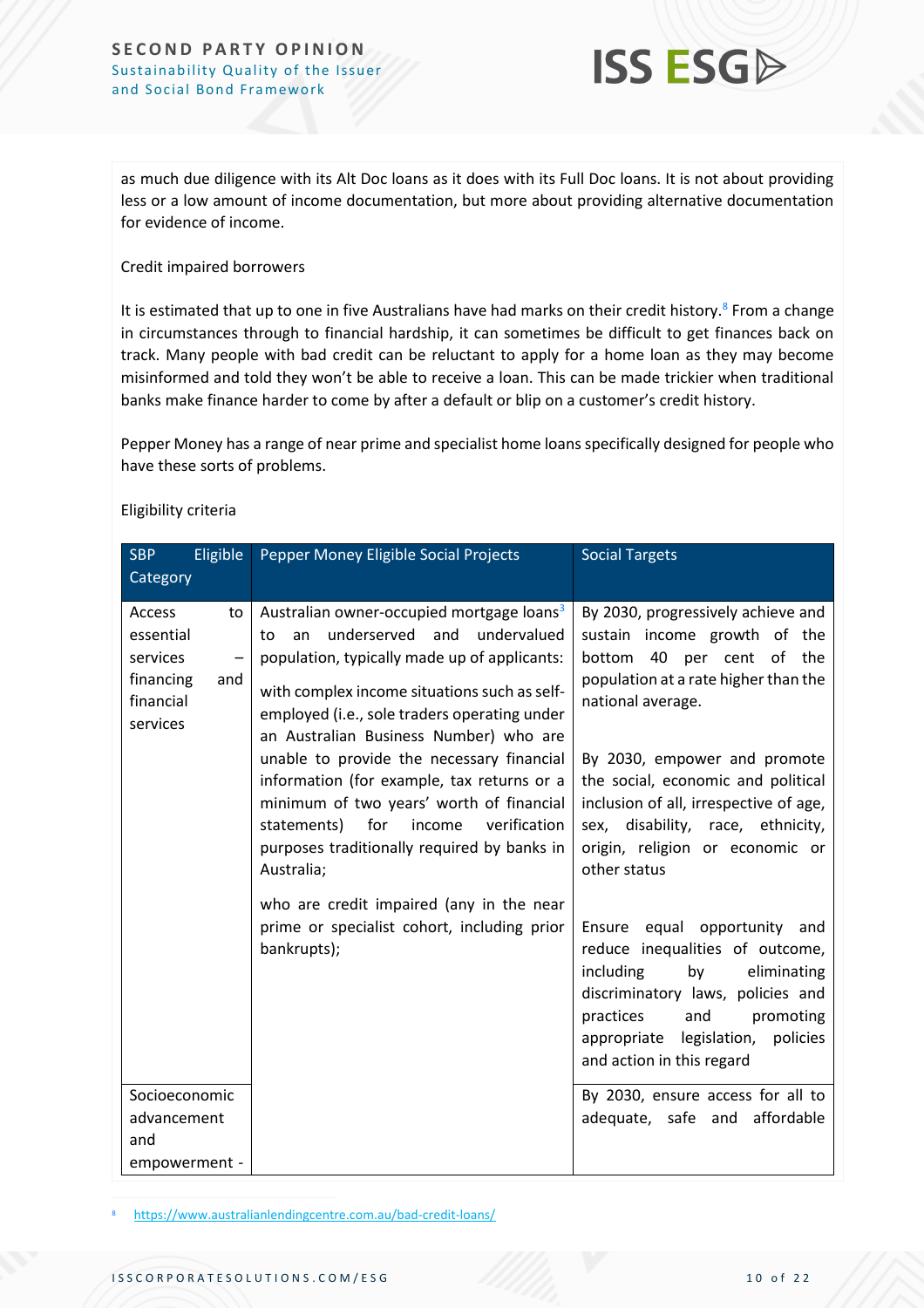

as much due diligence with its Alt Doc loans as it does with its Full Doc loans. It is not about providing less or a low amount of income documentation, but more about providing alternative documentation for evidence of income.

#### Credit impaired borrowers

It is estimated that up to one in five Australians have had marks on their credit history.<sup>8</sup> From a change in circumstances through to financial hardship, it can sometimes be difficult to get finances back on track. Many people with bad credit can be reluctant to apply for a home loan as they may become misinformed and told they won't be able to receive a loan. This can be made trickier when traditional banks make finance harder to come by after a default or blip on a customer's credit history.

Pepper Money has a range of near prime and specialist home loans specifically designed for people who have these sorts of problems.

| Eligible<br><b>SBP</b><br>Category                                                      | Pepper Money Eligible Social Projects                                                                                                                                                                                                                                                         | <b>Social Targets</b>                                                                                                                                                                                                                        |
|-----------------------------------------------------------------------------------------|-----------------------------------------------------------------------------------------------------------------------------------------------------------------------------------------------------------------------------------------------------------------------------------------------|----------------------------------------------------------------------------------------------------------------------------------------------------------------------------------------------------------------------------------------------|
| Access<br>to<br>essential<br>services<br>—<br>financing<br>and<br>financial<br>services | Australian owner-occupied mortgage loans <sup>3</sup><br>underserved and<br>undervalued<br>to<br>an<br>population, typically made up of applicants:<br>with complex income situations such as self-<br>employed (i.e., sole traders operating under<br>an Australian Business Number) who are | By 2030, progressively achieve and<br>sustain income growth of the<br>bottom 40 per cent of the<br>population at a rate higher than the<br>national average.                                                                                 |
|                                                                                         | unable to provide the necessary financial<br>information (for example, tax returns or a<br>minimum of two years' worth of financial<br>statements) for<br>verification<br>income<br>purposes traditionally required by banks in<br>Australia;                                                 | By 2030, empower and promote<br>the social, economic and political<br>inclusion of all, irrespective of age,<br>sex, disability, race, ethnicity,<br>origin, religion or economic or<br>other status                                         |
|                                                                                         | who are credit impaired (any in the near<br>prime or specialist cohort, including prior<br>bankrupts);                                                                                                                                                                                        | Ensure equal opportunity and<br>reduce inequalities of outcome,<br>including<br>by<br>eliminating<br>discriminatory laws, policies and<br>practices<br>and<br>promoting<br>policies<br>appropriate legislation,<br>and action in this regard |
| Socioeconomic<br>advancement                                                            |                                                                                                                                                                                                                                                                                               | By 2030, ensure access for all to<br>adequate, safe and affordable                                                                                                                                                                           |
| and                                                                                     |                                                                                                                                                                                                                                                                                               |                                                                                                                                                                                                                                              |
| empowerment -                                                                           |                                                                                                                                                                                                                                                                                               |                                                                                                                                                                                                                                              |

#### Eligibility criteria

<https://www.australianlendingcentre.com.au/bad-credit-loans/>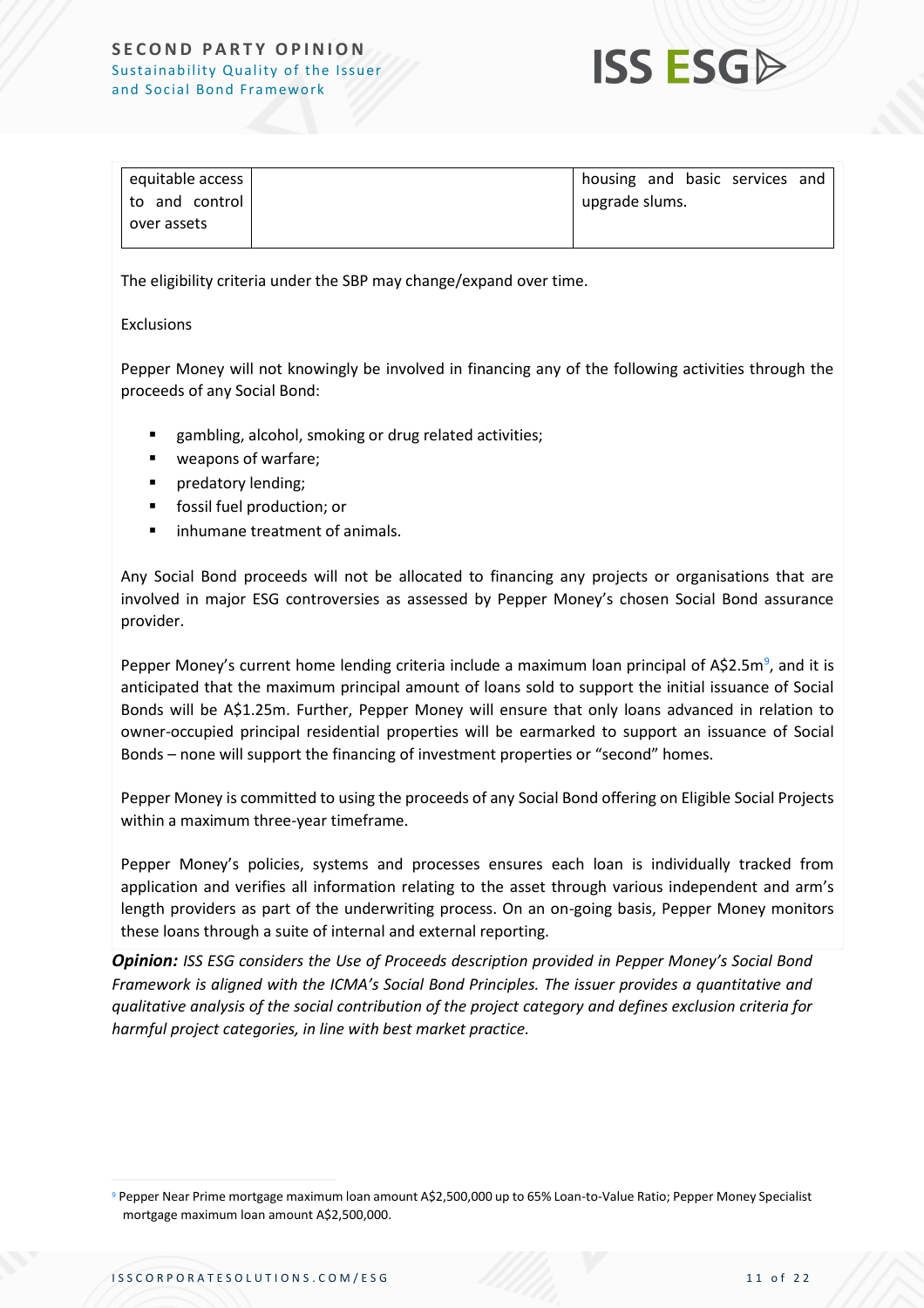#### **SECOND PARTY OPINION** Sustainability Quality of the Issuer and Social Bond Framework



| equitable access | housing and basic services and |  |  |
|------------------|--------------------------------|--|--|
| to and control   | upgrade slums.                 |  |  |
| over assets      |                                |  |  |
|                  |                                |  |  |

The eligibility criteria under the SBP may change/expand over time.

#### Exclusions

Pepper Money will not knowingly be involved in financing any of the following activities through the proceeds of any Social Bond:

- gambling, alcohol, smoking or drug related activities;
- weapons of warfare;
- predatory lending;
- fossil fuel production; or
- inhumane treatment of animals.

Any Social Bond proceeds will not be allocated to financing any projects or organisations that are involved in major ESG controversies as assessed by Pepper Money's chosen Social Bond assurance provider.

Pepper Money's current home lending criteria include a maximum loan principal of A\$2.5m<sup>9</sup>, and it is anticipated that the maximum principal amount of loans sold to support the initial issuance of Social Bonds will be A\$1.25m. Further, Pepper Money will ensure that only loans advanced in relation to owner‐occupied principal residential properties will be earmarked to support an issuance of Social Bonds – none will support the financing of investment properties or "second" homes.

Pepper Money is committed to using the proceeds of any Social Bond offering on Eligible Social Projects within a maximum three-year timeframe.

Pepper Money's policies, systems and processes ensures each loan is individually tracked from application and verifies all information relating to the asset through various independent and arm's length providers as part of the underwriting process. On an on-going basis, Pepper Money monitors these loans through a suite of internal and external reporting.

*Opinion: ISS ESG considers the Use of Proceeds description provided in Pepper Money's Social Bond Framework is aligned with the ICMA's Social Bond Principles. The issuer provides a quantitative and qualitative analysis of the social contribution of the project category and defines exclusion criteria for harmful project categories, in line with best market practice.*

<sup>9</sup> Pepper Near Prime mortgage maximum loan amount A\$2,500,000 up to 65% Loan-to-Value Ratio; Pepper Money Specialist mortgage maximum loan amount A\$2,500,000.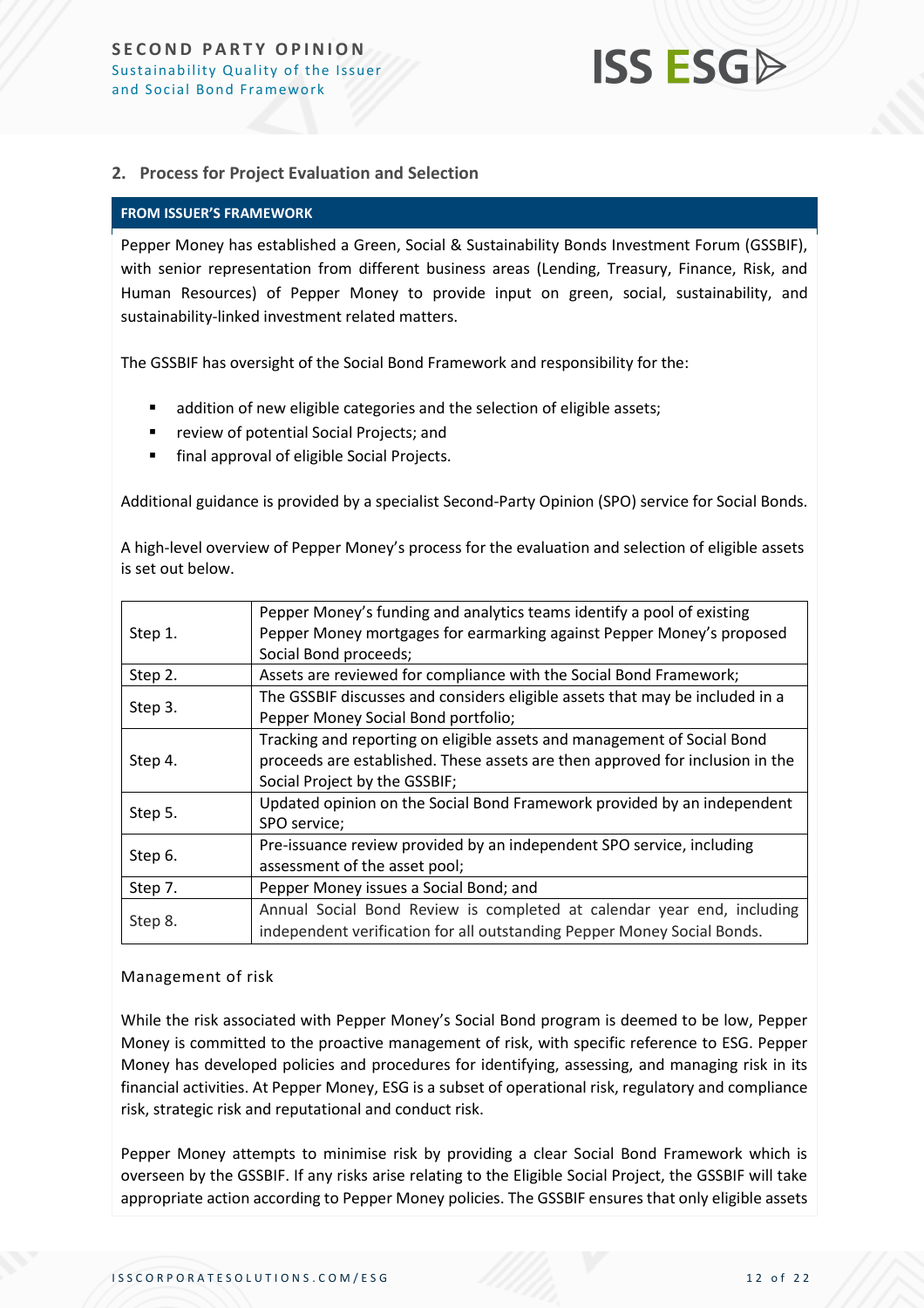#### **2. Process for Project Evaluation and Selection**

#### **FROM ISSUER'S FRAMEWORK**

Pepper Money has established a Green, Social & Sustainability Bonds Investment Forum (GSSBIF), with senior representation from different business areas (Lending, Treasury, Finance, Risk, and Human Resources) of Pepper Money to provide input on green, social, sustainability, and sustainability-linked investment related matters.

The GSSBIF has oversight of the Social Bond Framework and responsibility for the:

- addition of new eligible categories and the selection of eligible assets;
- review of potential Social Projects; and
- final approval of eligible Social Projects.

Additional guidance is provided by a specialist Second-Party Opinion (SPO) service for Social Bonds.

A high-level overview of Pepper Money's process for the evaluation and selection of eligible assets is set out below.

|         | Pepper Money's funding and analytics teams identify a pool of existing        |  |  |
|---------|-------------------------------------------------------------------------------|--|--|
| Step 1. | Pepper Money mortgages for earmarking against Pepper Money's proposed         |  |  |
|         | Social Bond proceeds;                                                         |  |  |
| Step 2. | Assets are reviewed for compliance with the Social Bond Framework;            |  |  |
|         | The GSSBIF discusses and considers eligible assets that may be included in a  |  |  |
| Step 3. | Pepper Money Social Bond portfolio;                                           |  |  |
|         | Tracking and reporting on eligible assets and management of Social Bond       |  |  |
| Step 4. | proceeds are established. These assets are then approved for inclusion in the |  |  |
|         | Social Project by the GSSBIF;                                                 |  |  |
|         | Updated opinion on the Social Bond Framework provided by an independent       |  |  |
| Step 5. | SPO service;                                                                  |  |  |
|         | Pre-issuance review provided by an independent SPO service, including         |  |  |
| Step 6. | assessment of the asset pool;                                                 |  |  |
| Step 7. | Pepper Money issues a Social Bond; and                                        |  |  |
|         | Annual Social Bond Review is completed at calendar year end, including        |  |  |
| Step 8. | independent verification for all outstanding Pepper Money Social Bonds.       |  |  |
|         |                                                                               |  |  |

#### <span id="page-11-0"></span>Management of risk

While the risk associated with Pepper Money's Social Bond program is deemed to be low, Pepper Money is committed to the proactive management of risk, with specific reference to ESG. Pepper Money has developed policies and procedures for identifying, assessing, and managing risk in its financial activities. At Pepper Money, ESG is a subset of operational risk, regulatory and compliance risk, strategic risk and reputational and conduct risk.

Pepper Money attempts to minimise risk by providing a clear Social Bond Framework which is overseen by the GSSBIF. If any risks arise relating to the Eligible Social Project, the GSSBIF will take appropriate action according to Pepper Money policies. The GSSBIF ensures that only eligible assets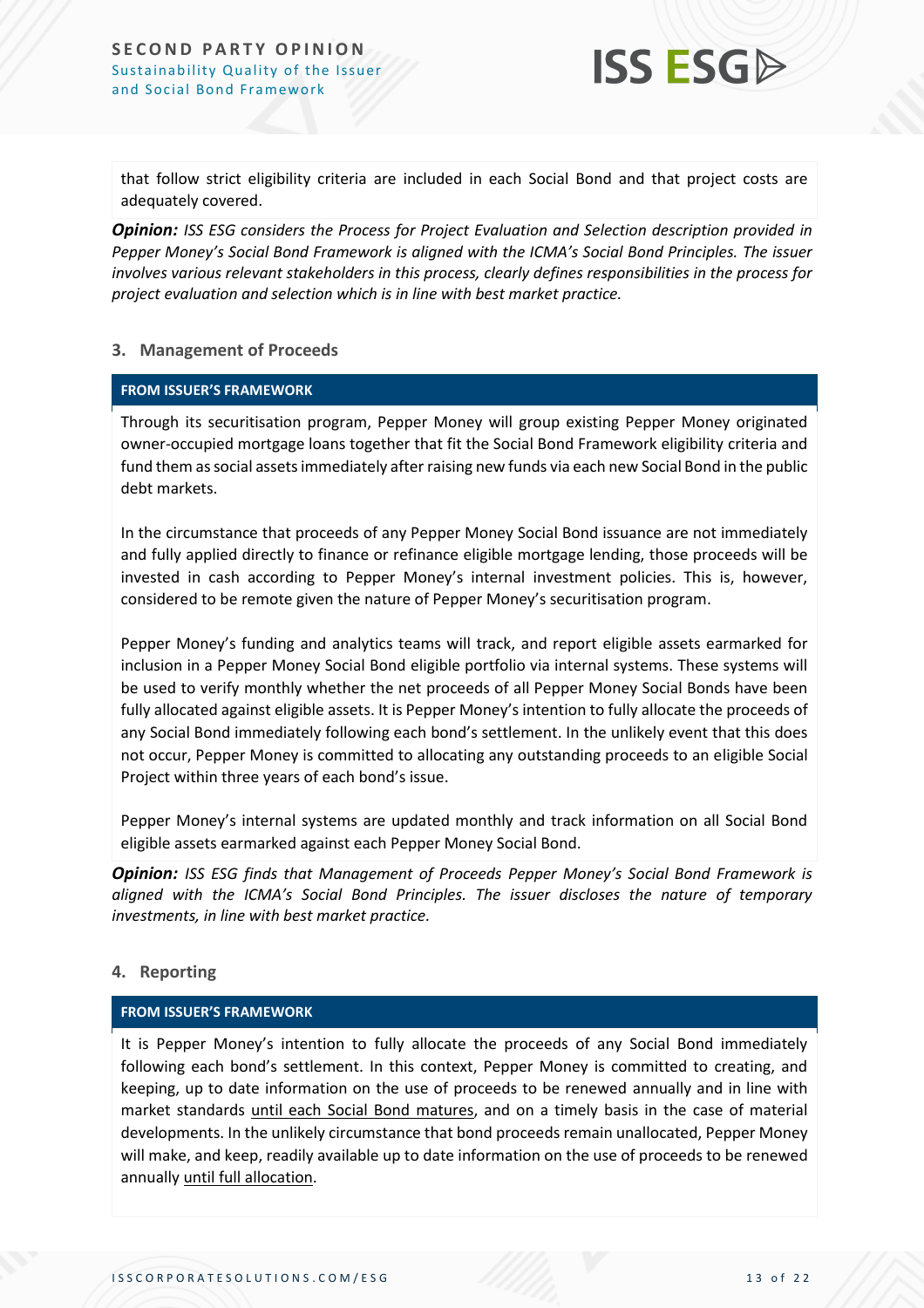

that follow strict eligibility criteria are included in each Social Bond and that project costs are adequately covered.

*Opinion: ISS ESG considers the Process for Project Evaluation and Selection description provided in Pepper Money's Social Bond Framework is aligned with the ICMA's Social Bond Principles. The issuer involves various relevant stakeholders in this process, clearly defines responsibilities in the process for project evaluation and selection which is in line with best market practice.*

#### **3. Management of Proceeds**

#### **FROM ISSUER'S FRAMEWORK**

Through its securitisation program, Pepper Money will group existing Pepper Money originated owner-occupied mortgage loans together that fit the Social Bond Framework eligibility criteria and fund them as social assets immediately after raising new funds via each new Social Bond in the public debt markets.

In the circumstance that proceeds of any Pepper Money Social Bond issuance are not immediately and fully applied directly to finance or refinance eligible mortgage lending, those proceeds will be invested in cash according to Pepper Money's internal investment policies. This is, however, considered to be remote given the nature of Pepper Money's securitisation program.

Pepper Money's funding and analytics teams will track, and report eligible assets earmarked for inclusion in a Pepper Money Social Bond eligible portfolio via internal systems. These systems will be used to verify monthly whether the net proceeds of all Pepper Money Social Bonds have been fully allocated against eligible assets. It is Pepper Money's intention to fully allocate the proceeds of any Social Bond immediately following each bond's settlement. In the unlikely event that this does not occur, Pepper Money is committed to allocating any outstanding proceeds to an eligible Social Project within three years of each bond's issue.

Pepper Money's internal systems are updated monthly and track information on all Social Bond eligible assets earmarked against each Pepper Money Social Bond.

*Opinion: ISS ESG finds that Management of Proceeds Pepper Money's Social Bond Framework is aligned with the ICMA's Social Bond Principles. The issuer discloses the nature of temporary investments, in line with best market practice.*

#### **4. Reporting**

#### **FROM ISSUER'S FRAMEWORK**

It is Pepper Money's intention to fully allocate the proceeds of any Social Bond immediately following each bond's settlement. In this context, Pepper Money is committed to creating, and keeping, up to date information on the use of proceeds to be renewed annually and in line with market standards until each Social Bond matures, and on a timely basis in the case of material developments. In the unlikely circumstance that bond proceeds remain unallocated, Pepper Money will make, and keep, readily available up to date information on the use of proceeds to be renewed annually until full allocation.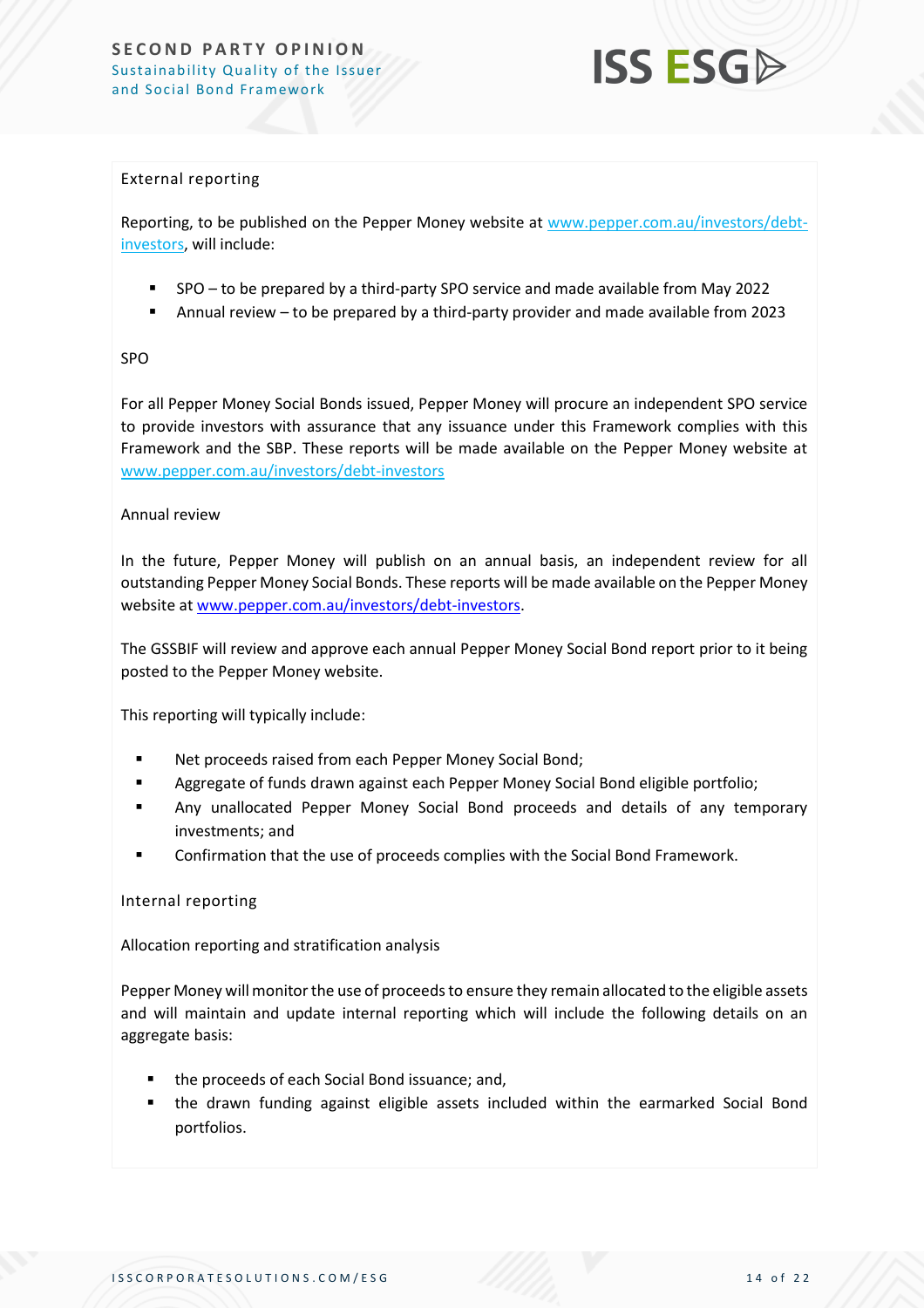

#### <span id="page-13-0"></span>External reporting

Reporting, to be published on the Pepper Money website at [www.pepper.com.au/investors/debt](http://www.pepper.com.au/investors/debt-investors)[investors,](http://www.pepper.com.au/investors/debt-investors) will include:

- SPO to be prepared by a third-party SPO service and made available from May 2022
- Annual review  $-$  to be prepared by a third-party provider and made available from 2023

#### SPO

For all Pepper Money Social Bonds issued, Pepper Money will procure an independent SPO service to provide investors with assurance that any issuance under this Framework complies with this Framework and the SBP. These reports will be made available on the Pepper Money website at [www.pepper.com.au/investors/debt-investors](http://www.pepper.com.au/investors/debt-investors)

#### Annual review

In the future, Pepper Money will publish on an annual basis, an independent review for all outstanding Pepper Money Social Bonds. These reports will be made available on the Pepper Money website at [www.pepper.com.au/investors/debt-investors.](http://www.pepper.com.au/investors/debt-investors)

The GSSBIF will review and approve each annual Pepper Money Social Bond report prior to it being posted to the Pepper Money website.

This reporting will typically include:

- Net proceeds raised from each Pepper Money Social Bond;
- Aggregate of funds drawn against each Pepper Money Social Bond eligible portfolio;
- Any unallocated Pepper Money Social Bond proceeds and details of any temporary investments; and
- Confirmation that the use of proceeds complies with the Social Bond Framework.

#### <span id="page-13-1"></span>Internal reporting

Allocation reporting and stratification analysis

Pepper Money will monitor the use of proceeds to ensure they remain allocated to the eligible assets and will maintain and update internal reporting which will include the following details on an aggregate basis:

- the proceeds of each Social Bond issuance; and,
- the drawn funding against eligible assets included within the earmarked Social Bond portfolios.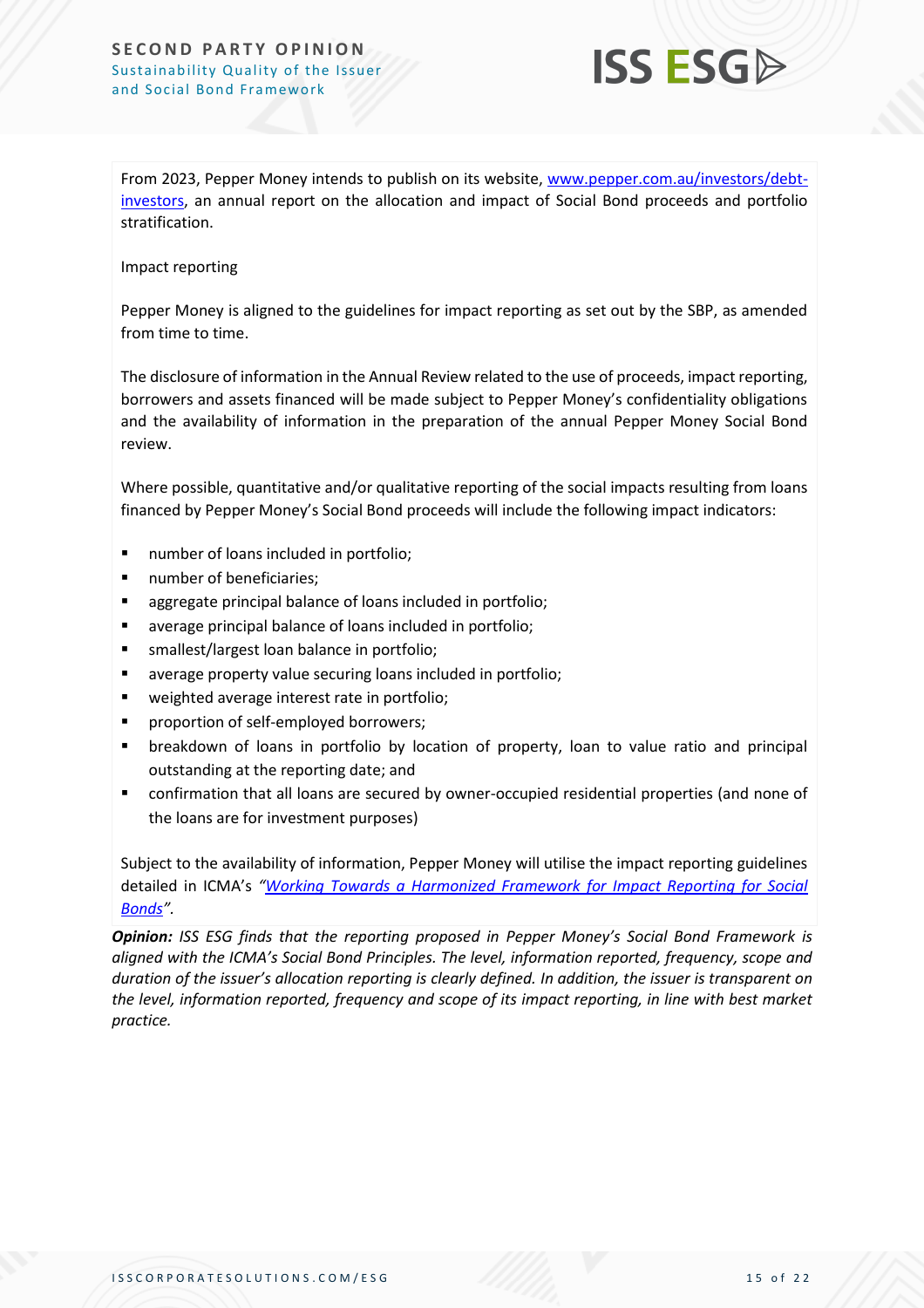#### **SECOND PARTY OPINION** Sustainability Quality of the Issuer and Social Bond Framework



From 2023, Pepper Money intends to publish on its website, [www.pepper.com.au/investors/debt](http://www.pepper.com.au/investors/debt-investors)[investors,](http://www.pepper.com.au/investors/debt-investors) an annual report on the allocation and impact of Social Bond proceeds and portfolio stratification.

#### Impact reporting

Pepper Money is aligned to the guidelines for impact reporting as set out by the SBP, as amended from time to time.

The disclosure of information in the Annual Review related to the use of proceeds, impact reporting, borrowers and assets financed will be made subject to Pepper Money's confidentiality obligations and the availability of information in the preparation of the annual Pepper Money Social Bond review.

Where possible, quantitative and/or qualitative reporting of the social impacts resulting from loans financed by Pepper Money's Social Bond proceeds will include the following impact indicators:

- number of loans included in portfolio;
- number of beneficiaries;
- aggregate principal balance of loans included in portfolio;
- average principal balance of loans included in portfolio;
- smallest/largest loan balance in portfolio;
- average property value securing loans included in portfolio;
- weighted average interest rate in portfolio;
- proportion of self-employed borrowers;
- breakdown of loans in portfolio by location of property, loan to value ratio and principal outstanding at the reporting date; and
- confirmation that all loans are secured by owner-occupied residential properties (and none of the loans are for investment purposes)

Subject to the availability of information, Pepper Money will utilise the impact reporting guidelines detailed in ICMA's *"[Working Towards a Harmonized Framework for Impact Reporting for Social](https://www.icmagroup.org/assets/documents/Regulatory/Green-Bonds/June-2020/Harmonized-Framework-for-Impact-Reporting-for-Social-BondsJune-2020-090620.pdf)  [Bonds](https://www.icmagroup.org/assets/documents/Regulatory/Green-Bonds/June-2020/Harmonized-Framework-for-Impact-Reporting-for-Social-BondsJune-2020-090620.pdf)".*

*Opinion: ISS ESG finds that the reporting proposed in Pepper Money's Social Bond Framework is aligned with the ICMA's Social Bond Principles. The level, information reported, frequency, scope and duration of the issuer's allocation reporting is clearly defined. In addition, the issuer is transparent on the level, information reported, frequency and scope of its impact reporting, in line with best market practice.*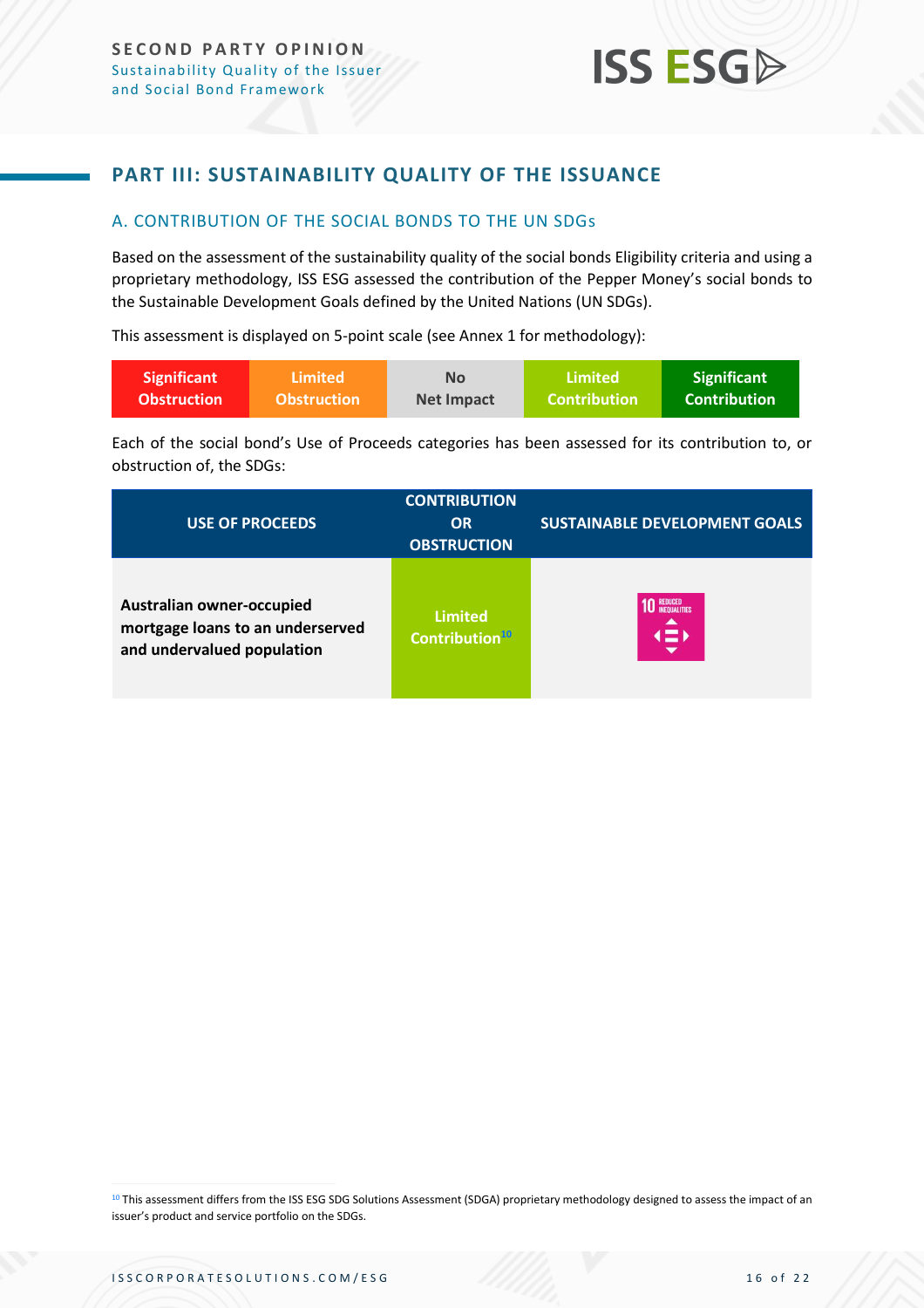### <span id="page-15-0"></span>**PART III: SUSTAINABILITY QUALITY OF THE ISSUANCE**

#### <span id="page-15-1"></span>A. CONTRIBUTION OF THE SOCIAL BONDS TO THE UN SDGs

Based on the assessment of the sustainability quality of the social bonds Eligibility criteria and using a proprietary methodology, ISS ESG assessed the contribution of the Pepper Money's social bonds to the Sustainable Development Goals defined by the United Nations (UN SDGs).

This assessment is displayed on 5-point scale (see Annex 1 for methodology):

| <b>Significant</b> | <b>Limited</b>     | <b>No</b>         | Limited             | <b>Significant</b> |
|--------------------|--------------------|-------------------|---------------------|--------------------|
| <b>Obstruction</b> | <b>Obstruction</b> | <b>Net Impact</b> | <b>Contribution</b> | Contribution'      |

Each of the social bond's Use of Proceeds categories has been assessed for its contribution to, or obstruction of, the SDGs:

| <b>USE OF PROCEEDS</b>                                                                      | <b>CONTRIBUTION</b><br><b>OR</b><br><b>OBSTRUCTION</b> | <b>SUSTAINABLE DEVELOPMENT GOALS</b>     |
|---------------------------------------------------------------------------------------------|--------------------------------------------------------|------------------------------------------|
| Australian owner-occupied<br>mortgage loans to an underserved<br>and undervalued population | <b>Limited</b><br>Contribution <sup>10</sup>           | <b>REDUCED<br/>INFOUALITIES</b><br>1 = D |

10 This assessment differs from the ISS ESG SDG Solutions Assessment (SDGA) proprietary methodology designed to assess the impact of an issuer's product and service portfolio on the SDGs.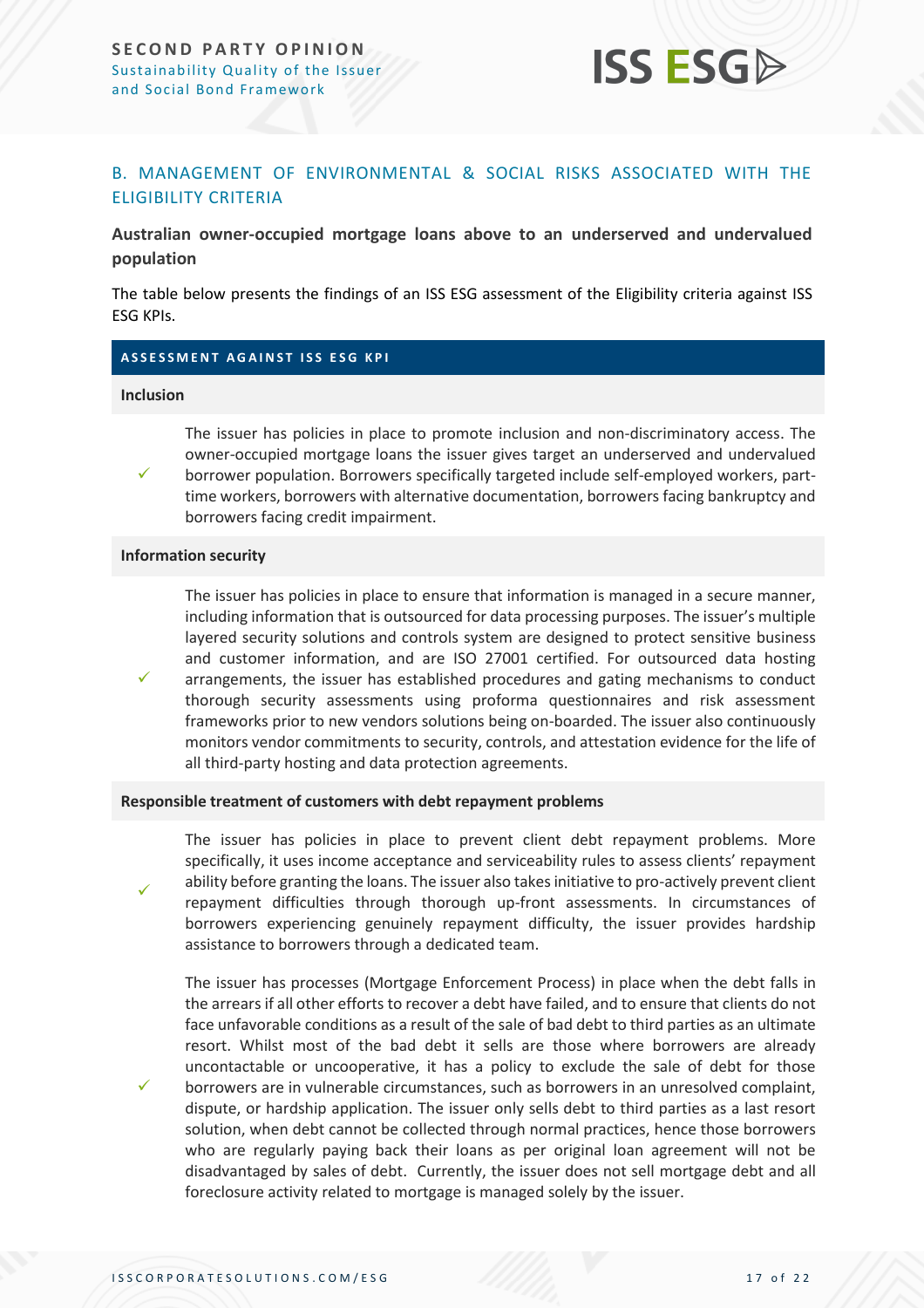

#### <span id="page-16-0"></span>B. MANAGEMENT OF ENVIRONMENTAL & SOCIAL RISKS ASSOCIATED WITH THE ELIGIBILITY CRITERIA

**Australian owner‐occupied mortgage loans above to an underserved and undervalued population**

The table below presents the findings of an ISS ESG assessment of the Eligibility criteria against ISS ESG KPIs.

#### **A S S E S S M E N T A G A I N S T I S S E S G K P I**

#### **Inclusion**

✓

✓

✓

✓

The issuer has policies in place to promote inclusion and non-discriminatory access. The owner‐occupied mortgage loans the issuer gives target an underserved and undervalued borrower population. Borrowers specifically targeted include self-employed workers, parttime workers, borrowers with alternative documentation, borrowers facing bankruptcy and borrowers facing credit impairment.

#### **Information security**

The issuer has policies in place to ensure that information is managed in a secure manner, including information that is outsourced for data processing purposes. The issuer's multiple layered security solutions and controls system are designed to protect sensitive business and customer information, and are ISO 27001 certified. For outsourced data hosting arrangements, the issuer has established procedures and gating mechanisms to conduct thorough security assessments using proforma questionnaires and risk assessment frameworks prior to new vendors solutions being on-boarded. The issuer also continuously monitors vendor commitments to security, controls, and attestation evidence for the life of all third-party hosting and data protection agreements.

#### **Responsible treatment of customers with debt repayment problems**

The issuer has policies in place to prevent client debt repayment problems. More specifically, it uses income acceptance and serviceability rules to assess clients' repayment ability before granting the loans. The issuer also takes initiative to pro-actively prevent client repayment difficulties through thorough up-front assessments. In circumstances of borrowers experiencing genuinely repayment difficulty, the issuer provides hardship assistance to borrowers through a dedicated team.

The issuer has processes (Mortgage Enforcement Process) in place when the debt falls in the arrearsif all other efforts to recover a debt have failed, and to ensure that clients do not face unfavorable conditions as a result of the sale of bad debt to third parties as an ultimate resort. Whilst most of the bad debt it sells are those where borrowers are already uncontactable or uncooperative, it has a policy to exclude the sale of debt for those borrowers are in vulnerable circumstances, such as borrowers in an unresolved complaint, dispute, or hardship application. The issuer only sells debt to third parties as a last resort solution, when debt cannot be collected through normal practices, hence those borrowers who are regularly paying back their loans as per original loan agreement will not be disadvantaged by sales of debt. Currently, the issuer does not sell mortgage debt and all foreclosure activity related to mortgage is managed solely by the issuer.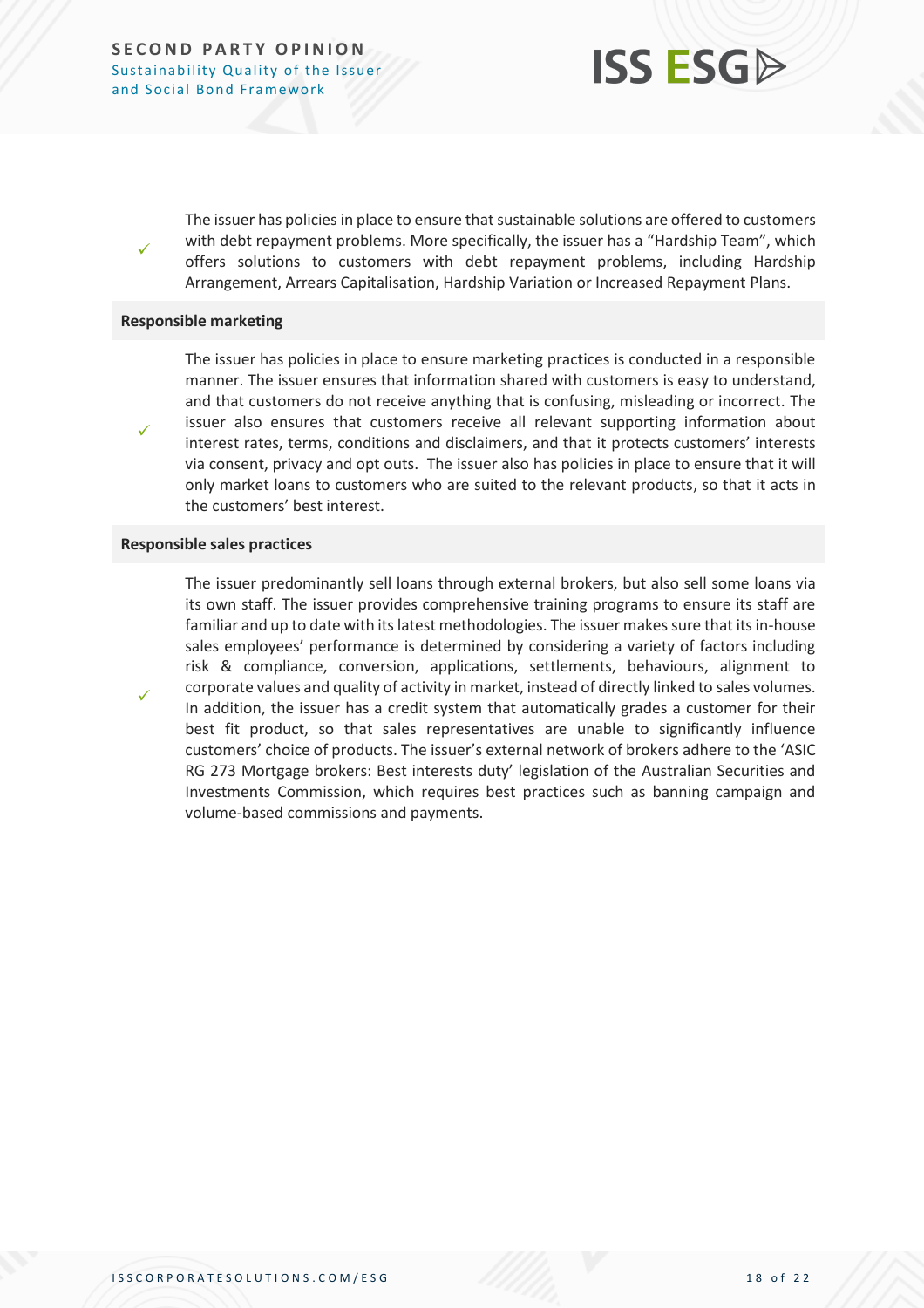**SECOND PARTY OPINION** Sustainability Quality of the Issuer and Social Bond Framework



The issuer has policies in place to ensure that sustainable solutions are offered to customers with debt repayment problems. More specifically, the issuer has a "Hardship Team", which offers solutions to customers with debt repayment problems, including Hardship Arrangement, Arrears Capitalisation, Hardship Variation or Increased Repayment Plans.

#### **Responsible marketing**

✓

✓

✓

The issuer has policies in place to ensure marketing practices is conducted in a responsible manner. The issuer ensures that information shared with customers is easy to understand, and that customers do not receive anything that is confusing, misleading or incorrect. The issuer also ensures that customers receive all relevant supporting information about interest rates, terms, conditions and disclaimers, and that it protects customers' interests via consent, privacy and opt outs. The issuer also has policies in place to ensure that it will only market loans to customers who are suited to the relevant products, so that it acts in the customers' best interest.

#### **Responsible sales practices**

The issuer predominantly sell loans through external brokers, but also sell some loans via its own staff. The issuer provides comprehensive training programs to ensure its staff are familiar and up to date with its latest methodologies. The issuer makes sure that its in-house sales employees' performance is determined by considering a variety of factors including risk & compliance, conversion, applications, settlements, behaviours, alignment to corporate values and quality of activity in market, instead of directly linked to sales volumes. In addition, the issuer has a credit system that automatically grades a customer for their best fit product, so that sales representatives are unable to significantly influence customers' choice of products. The issuer's external network of brokers adhere to the 'ASIC RG 273 Mortgage brokers: Best interests duty' legislation of the Australian Securities and Investments Commission, which requires best practices such as banning campaign and volume-based commissions and payments.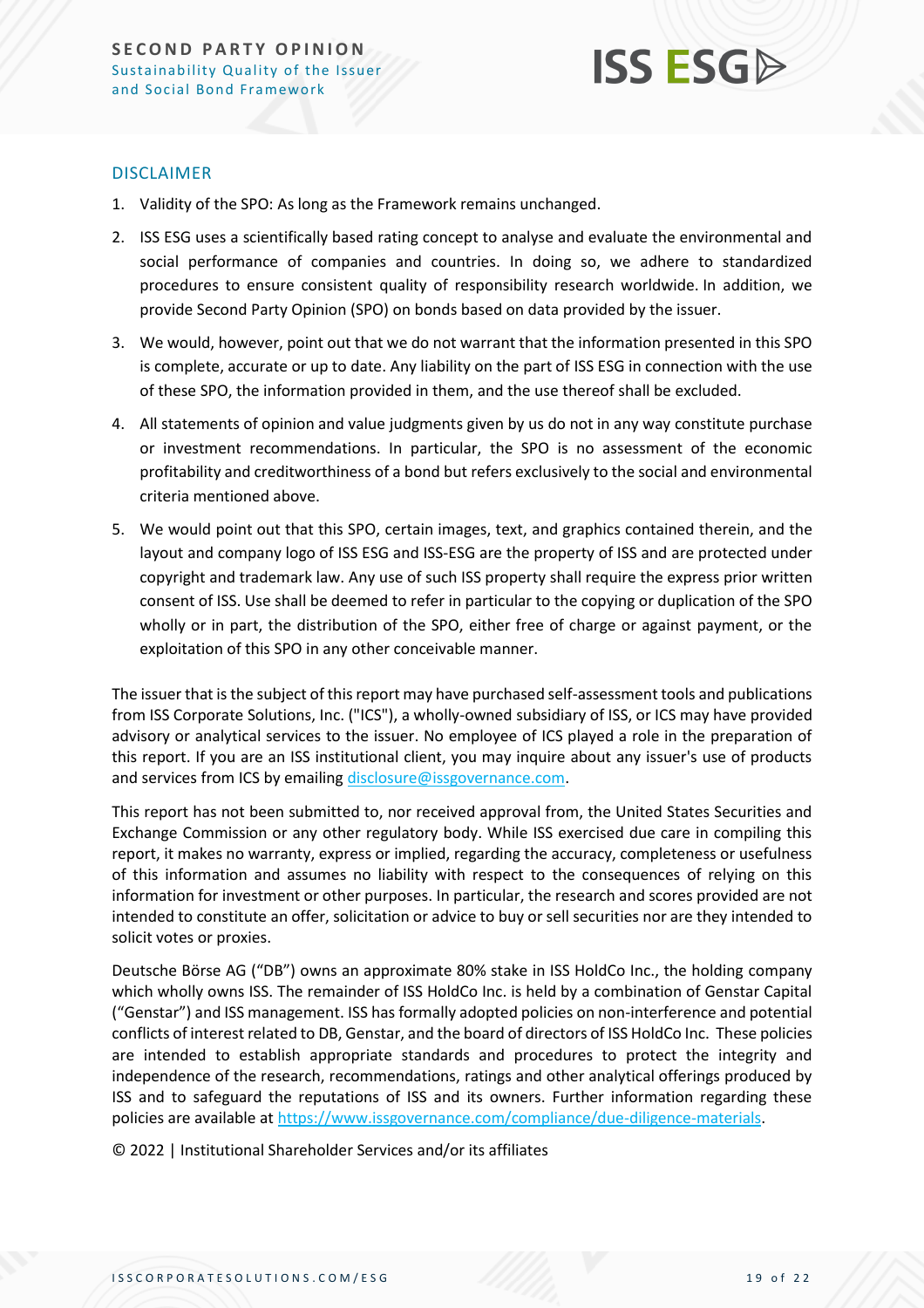

#### DISCLAIMER

- 1. Validity of the SPO: As long as the Framework remains unchanged.
- 2. ISS ESG uses a scientifically based rating concept to analyse and evaluate the environmental and social performance of companies and countries. In doing so, we adhere to standardized procedures to ensure consistent quality of responsibility research worldwide. In addition, we provide Second Party Opinion (SPO) on bonds based on data provided by the issuer.
- 3. We would, however, point out that we do not warrant that the information presented in this SPO is complete, accurate or up to date. Any liability on the part of ISS ESG in connection with the use of these SPO, the information provided in them, and the use thereof shall be excluded.
- 4. All statements of opinion and value judgments given by us do not in any way constitute purchase or investment recommendations. In particular, the SPO is no assessment of the economic profitability and creditworthiness of a bond but refers exclusively to the social and environmental criteria mentioned above.
- 5. We would point out that this SPO, certain images, text, and graphics contained therein, and the layout and company logo of ISS ESG and ISS-ESG are the property of ISS and are protected under copyright and trademark law. Any use of such ISS property shall require the express prior written consent of ISS. Use shall be deemed to refer in particular to the copying or duplication of the SPO wholly or in part, the distribution of the SPO, either free of charge or against payment, or the exploitation of this SPO in any other conceivable manner.

The issuer that is the subject of this report may have purchased self-assessment tools and publications from ISS Corporate Solutions, Inc. ("ICS"), a wholly-owned subsidiary of ISS, or ICS may have provided advisory or analytical services to the issuer. No employee of ICS played a role in the preparation of this report. If you are an ISS institutional client, you may inquire about any issuer's use of products and services from ICS by emailin[g disclosure@issgovernance.com.](mailto:disclosure@issgovernance.com)

This report has not been submitted to, nor received approval from, the United States Securities and Exchange Commission or any other regulatory body. While ISS exercised due care in compiling this report, it makes no warranty, express or implied, regarding the accuracy, completeness or usefulness of this information and assumes no liability with respect to the consequences of relying on this information for investment or other purposes. In particular, the research and scores provided are not intended to constitute an offer, solicitation or advice to buy or sell securities nor are they intended to solicit votes or proxies.

Deutsche Börse AG ("DB") owns an approximate 80% stake in ISS HoldCo Inc., the holding company which wholly owns ISS. The remainder of ISS HoldCo Inc. is held by a combination of Genstar Capital ("Genstar") and ISS management. ISS has formally adopted policies on non-interference and potential conflicts of interest related to DB, Genstar, and the board of directors of ISS HoldCo Inc. These policies are intended to establish appropriate standards and procedures to protect the integrity and independence of the research, recommendations, ratings and other analytical offerings produced by ISS and to safeguard the reputations of ISS and its owners. Further information regarding these policies are available a[t https://www.issgovernance.com/compliance/due-diligence-materials.](https://www.issgovernance.com/compliance/due-diligence-materials)

© 2022 | Institutional Shareholder Services and/or its affiliates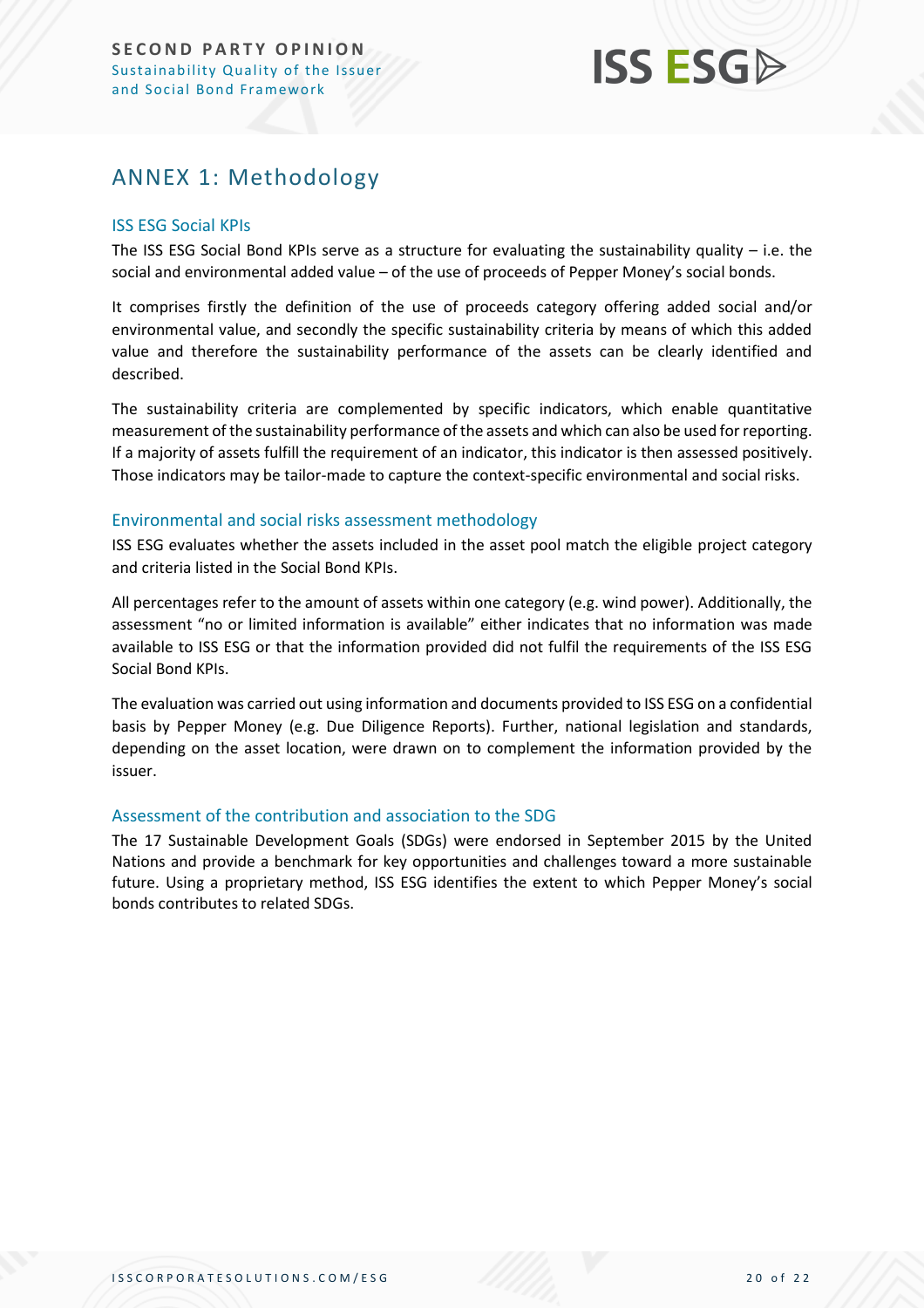## <span id="page-19-0"></span>ANNEX 1: Methodology

#### ISS ESG Social KPIs

The ISS ESG Social Bond KPIs serve as a structure for evaluating the sustainability quality – i.e. the social and environmental added value – of the use of proceeds of Pepper Money's social bonds.

It comprises firstly the definition of the use of proceeds category offering added social and/or environmental value, and secondly the specific sustainability criteria by means of which this added value and therefore the sustainability performance of the assets can be clearly identified and described.

The sustainability criteria are complemented by specific indicators, which enable quantitative measurement of the sustainability performance of the assets and which can also be used for reporting. If a majority of assets fulfill the requirement of an indicator, this indicator is then assessed positively. Those indicators may be tailor-made to capture the context-specific environmental and social risks.

#### Environmental and social risks assessment methodology

ISS ESG evaluates whether the assets included in the asset pool match the eligible project category and criteria listed in the Social Bond KPIs.

All percentages refer to the amount of assets within one category (e.g. wind power). Additionally, the assessment "no or limited information is available" either indicates that no information was made available to ISS ESG or that the information provided did not fulfil the requirements of the ISS ESG Social Bond KPIs.

The evaluation was carried out using information and documents provided to ISS ESG on a confidential basis by Pepper Money (e.g. Due Diligence Reports). Further, national legislation and standards, depending on the asset location, were drawn on to complement the information provided by the issuer.

#### Assessment of the contribution and association to the SDG

The 17 Sustainable Development Goals (SDGs) were endorsed in September 2015 by the United Nations and provide a benchmark for key opportunities and challenges toward a more sustainable future. Using a proprietary method, ISS ESG identifies the extent to which Pepper Money's social bonds contributes to related SDGs.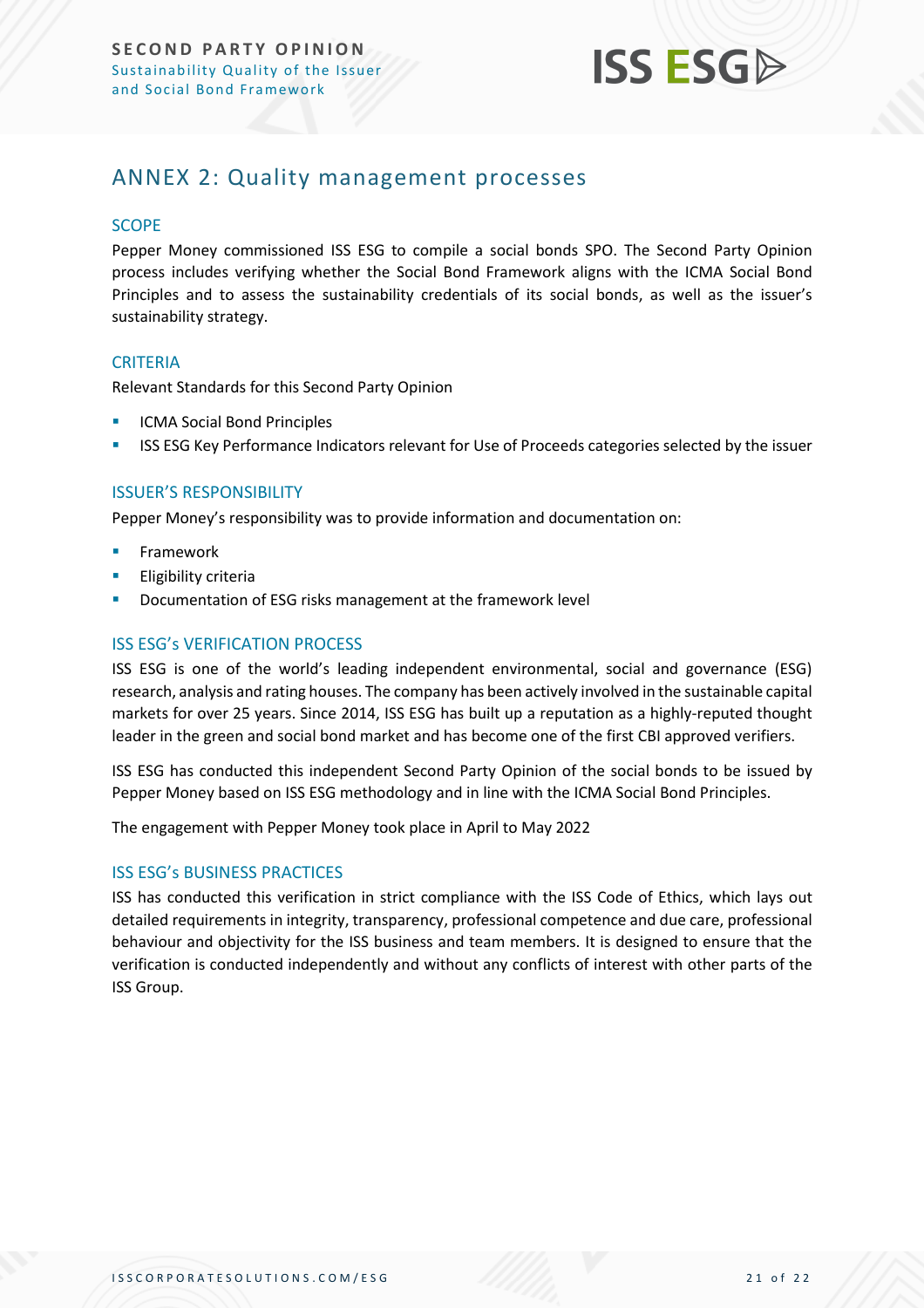

### <span id="page-20-0"></span>ANNEX 2: Quality management processes

#### **SCOPE**

Pepper Money commissioned ISS ESG to compile a social bonds SPO. The Second Party Opinion process includes verifying whether the Social Bond Framework aligns with the ICMA Social Bond Principles and to assess the sustainability credentials of its social bonds, as well as the issuer's sustainability strategy.

#### **CRITERIA**

Relevant Standards for this Second Party Opinion

- **ICMA Social Bond Principles**
- **ISS ESG Key Performance Indicators relevant for Use of Proceeds categories selected by the issuer**

#### ISSUER'S RESPONSIBILITY

Pepper Money's responsibility was to provide information and documentation on:

- **Framework**
- **Eligibility criteria**
- Documentation of ESG risks management at the framework level

#### ISS ESG's VERIFICATION PROCESS

ISS ESG is one of the world's leading independent environmental, social and governance (ESG) research, analysis and rating houses. The company has been actively involved in the sustainable capital markets for over 25 years. Since 2014, ISS ESG has built up a reputation as a highly-reputed thought leader in the green and social bond market and has become one of the first CBI approved verifiers.

ISS ESG has conducted this independent Second Party Opinion of the social bonds to be issued by Pepper Money based on ISS ESG methodology and in line with the ICMA Social Bond Principles.

The engagement with Pepper Money took place in April to May 2022

#### ISS ESG's BUSINESS PRACTICES

ISS has conducted this verification in strict compliance with the ISS Code of Ethics, which lays out detailed requirements in integrity, transparency, professional competence and due care, professional behaviour and objectivity for the ISS business and team members. It is designed to ensure that the verification is conducted independently and without any conflicts of interest with other parts of the ISS Group.